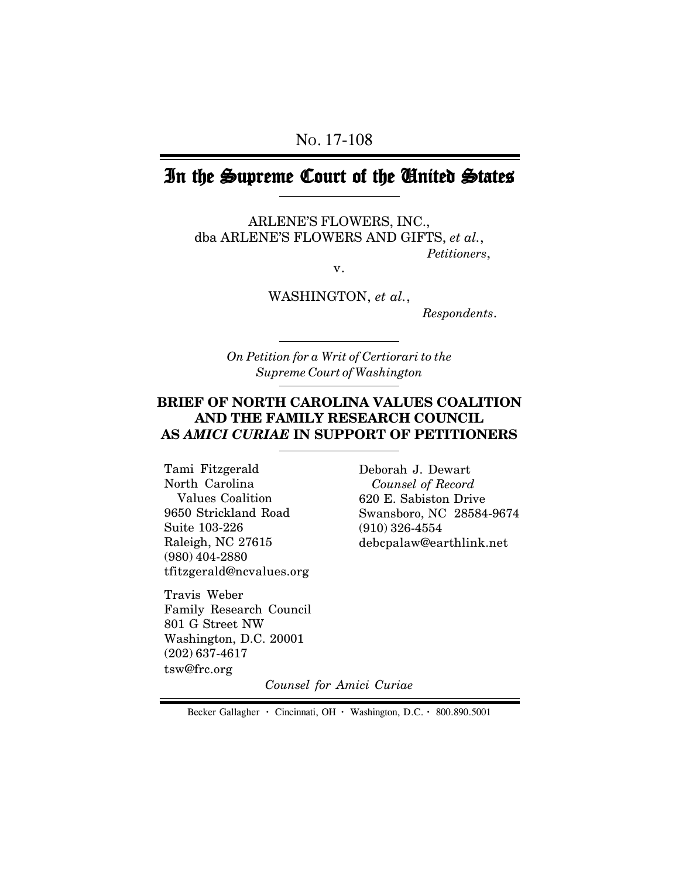# In the Supreme Court of the United States

ARLENE'S FLOWERS, INC., dba ARLENE'S FLOWERS AND GIFTS, *et al.*, *Petitioners*,

v.

WASHINGTON, *et al.*,

 *Respondents*.

*On Petition for a Writ of Certiorari to the Supreme Court of Washington*

#### **BRIEF OF NORTH CAROLINA VALUES COALITION AND THE FAMILY RESEARCH COUNCIL AS** *AMICI CURIAE* **IN SUPPORT OF PETITIONERS**

Tami Fitzgerald North Carolina Values Coalition 9650 Strickland Road Suite 103-226 Raleigh, NC 27615 (980) 404-2880 tfitzgerald@ncvalues.org

Travis Weber Family Research Council 801 G Street NW Washington, D.C. 20001 (202) 637-4617 tsw@frc.org

Deborah J. Dewart  *Counsel of Record* 620 E. Sabiston Drive Swansboro, NC 28584-9674 (910) 326-4554 debcpalaw@earthlink.net

*Counsel for Amici Curiae*

Becker Gallagher **·** Cincinnati, OH **·** Washington, D.C. **·** 800.890.5001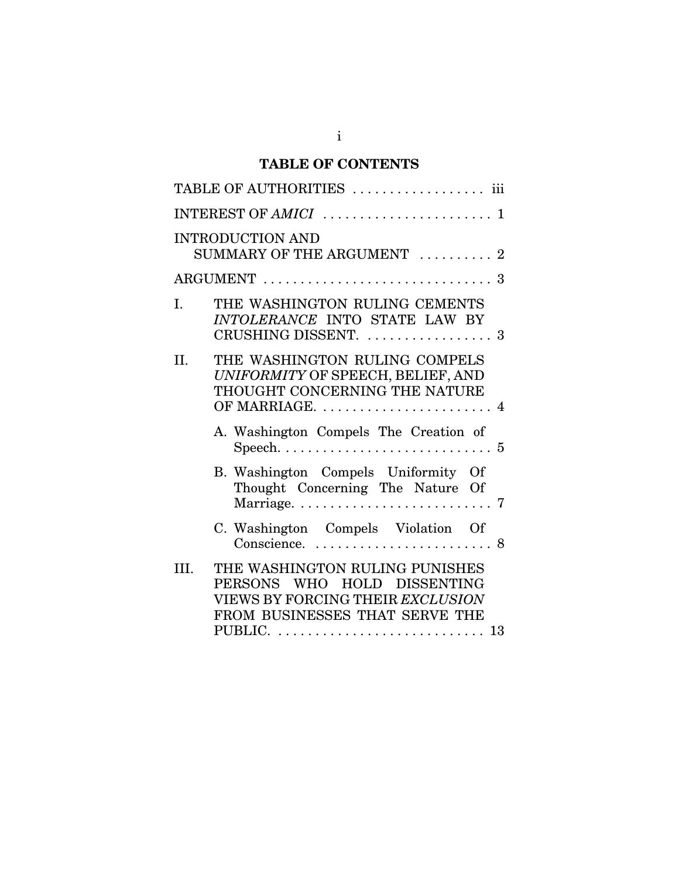## **TABLE OF CONTENTS**

|      | TABLE OF AUTHORITIES  iii                                                                                                           |
|------|-------------------------------------------------------------------------------------------------------------------------------------|
|      |                                                                                                                                     |
|      | <b>INTRODUCTION AND</b><br>SUMMARY OF THE ARGUMENT  2                                                                               |
|      |                                                                                                                                     |
| I.   | THE WASHINGTON RULING CEMENTS<br>INTOLERANCE INTO STATE LAW BY<br>CRUSHING DISSENT. $\ldots \ldots \ldots \ldots \ldots$            |
| II.  | THE WASHINGTON RULING COMPELS<br>UNIFORMITY OF SPEECH, BELIEF, AND<br>THOUGHT CONCERNING THE NATURE<br>OF MARRIAGE.  4              |
|      | A. Washington Compels The Creation of                                                                                               |
|      | B. Washington Compels Uniformity Of<br>Thought Concerning The Nature Of                                                             |
|      | C. Washington Compels Violation Of                                                                                                  |
| III. | THE WASHINGTON RULING PUNISHES<br>PERSONS WHO HOLD DISSENTING<br>VIEWS BY FORCING THEIR EXCLUSION<br>FROM BUSINESSES THAT SERVE THE |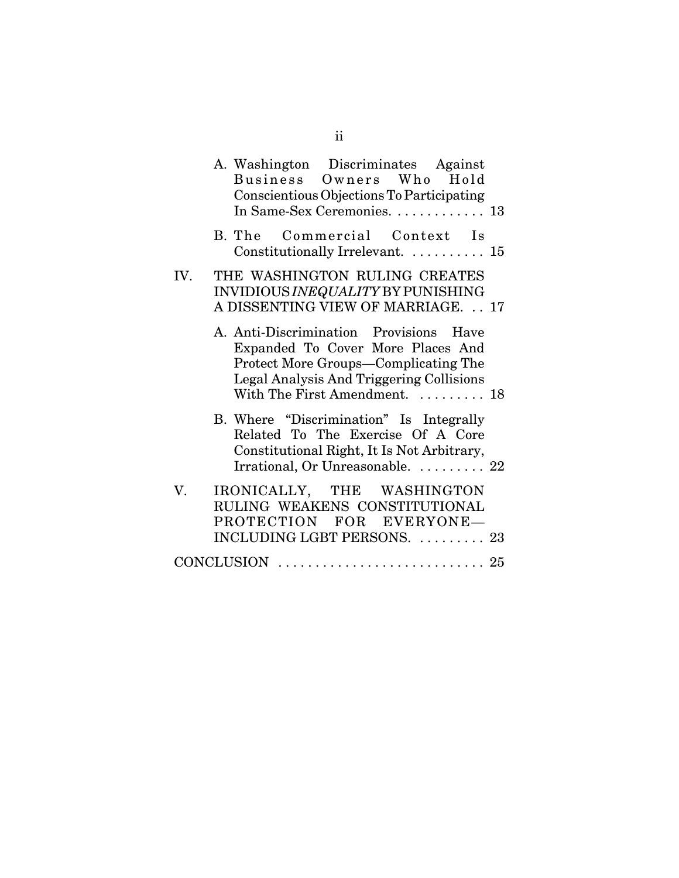|     | A. Washington Discriminates Against<br>Business Owners Who Hold<br>Conscientious Objections To Participating<br>In Same-Sex Ceremonies. 13                                                       |  |
|-----|--------------------------------------------------------------------------------------------------------------------------------------------------------------------------------------------------|--|
|     | B. The Commercial Context Is<br>Constitutionally Irrelevant. $\dots \dots \dots \dots$ 15                                                                                                        |  |
| IV. | THE WASHINGTON RULING CREATES<br>INVIDIOUS INEQUALITY BY PUNISHING<br>A DISSENTING VIEW OF MARRIAGE. 17                                                                                          |  |
|     | A. Anti-Discrimination Provisions Have<br>Expanded To Cover More Places And<br>Protect More Groups-Complicating The<br>Legal Analysis And Triggering Collisions<br>With The First Amendment.  18 |  |
|     | B. Where "Discrimination" Is Integrally<br>Related To The Exercise Of A Core<br>Constitutional Right, It Is Not Arbitrary,<br>Irrational, Or Unreasonable.  22                                   |  |
| V.  | IRONICALLY, THE WASHINGTON<br>RULING WEAKENS CONSTITUTIONAL<br>PROTECTION FOR EVERYONE-<br>INCLUDING LGBT PERSONS.  23                                                                           |  |
|     |                                                                                                                                                                                                  |  |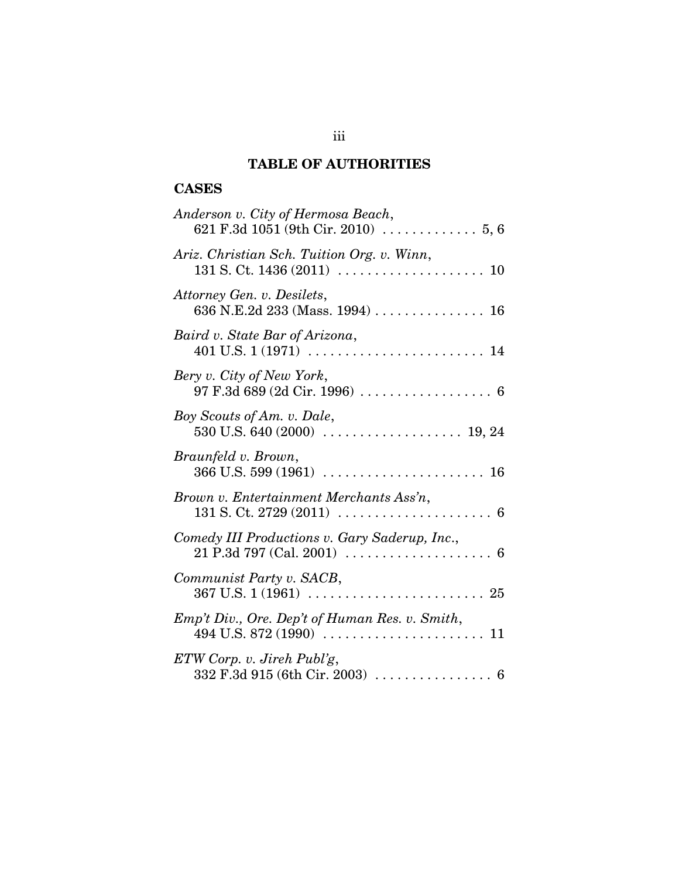## **TABLE OF AUTHORITIES**

## **CASES**

| Anderson v. City of Hermosa Beach,<br>621 F.3d 1051 (9th Cir. 2010) $\ldots \ldots \ldots \ldots 5, 6$                                                                    |
|---------------------------------------------------------------------------------------------------------------------------------------------------------------------------|
| Ariz. Christian Sch. Tuition Org. v. Winn,                                                                                                                                |
| Attorney Gen. v. Desilets,<br>636 N.E.2d 233 (Mass. 1994)  16                                                                                                             |
| Baird v. State Bar of Arizona,                                                                                                                                            |
| Bery v. City of New York,<br>$97 F.3d 689 (2d Cir. 1996) \ldots$                                                                                                          |
| Boy Scouts of Am. v. Dale,                                                                                                                                                |
| Braunfeld v. Brown,                                                                                                                                                       |
| Brown v. Entertainment Merchants Ass'n,                                                                                                                                   |
| Comedy III Productions v. Gary Saderup, Inc.,                                                                                                                             |
| Communist Party v. SACB,                                                                                                                                                  |
| Emp't Div., Ore. Dep't of Human Res. v. Smith,                                                                                                                            |
| $ETW$ Corp. v. Jireh Publ'g,<br>$332 \text{ F}.3d \text{ } 915 \text{ (6th Cir. } 2003) \text{ } \dots \dots \dots \dots \dots \dots \dots \dots \dots \dots \dots \dots$ |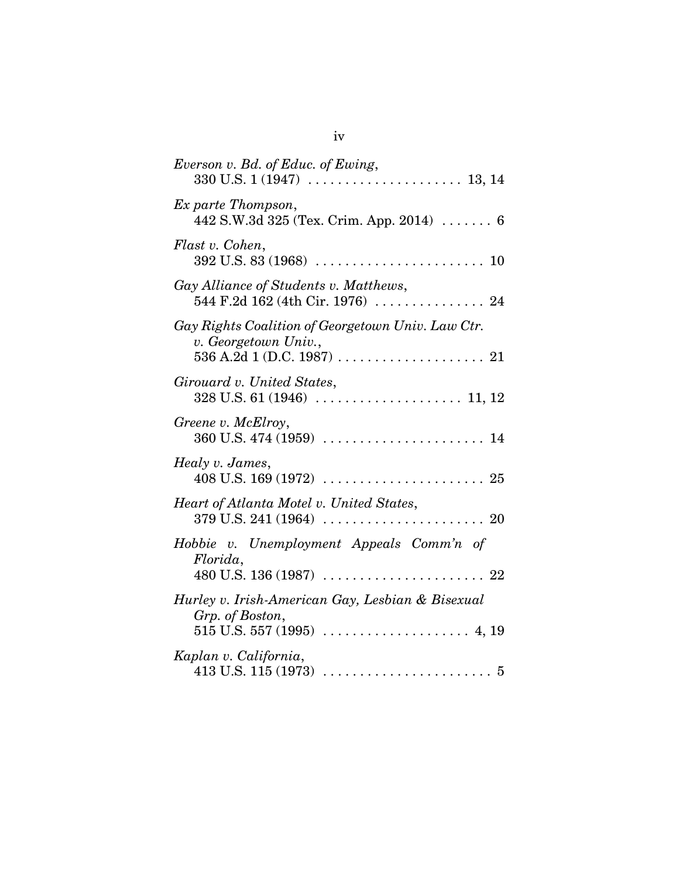| Everson v. Bd. of Educ. of Ewing,                                           |
|-----------------------------------------------------------------------------|
| Ex parte Thompson,<br>442 S.W.3d 325 (Tex. Crim. App. 2014) $\dots \dots 6$ |
| Flast v. Cohen,                                                             |
| Gay Alliance of Students v. Matthews,                                       |
| Gay Rights Coalition of Georgetown Univ. Law Ctr.<br>v. Georgetown Univ.,   |
| Girouard v. United States,                                                  |
| Greene v. McElroy,                                                          |
| Healy v. James,                                                             |
| Heart of Atlanta Motel v. United States,                                    |
| Hobbie v. Unemployment Appeals Comm'n of<br>Florida,                        |
| Hurley v. Irish-American Gay, Lesbian & Bisexual<br>Grp. of Boston,         |
| Kaplan v. California,                                                       |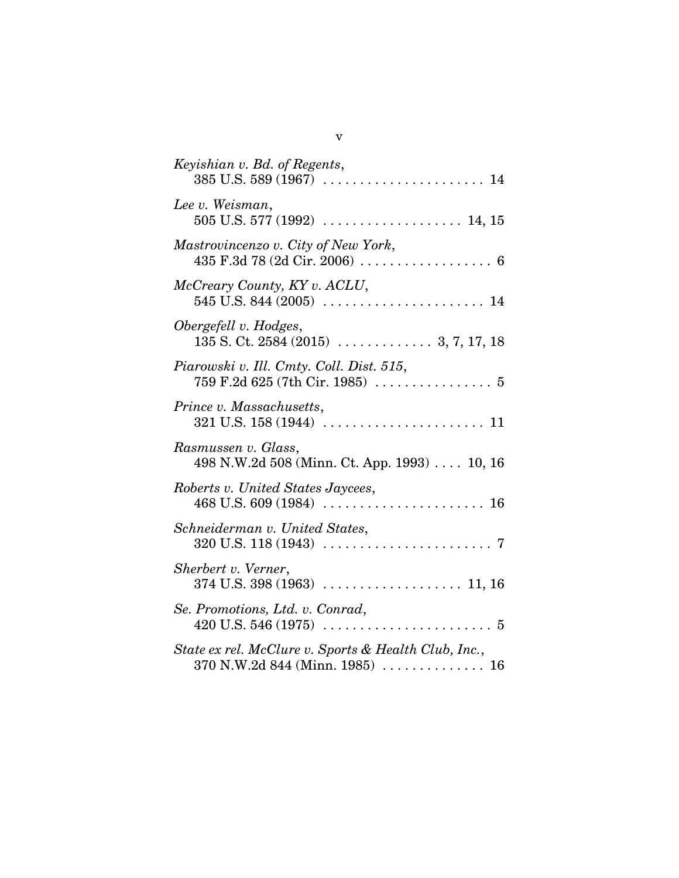| Keyishian v. Bd. of Regents,                                                                |
|---------------------------------------------------------------------------------------------|
| Lee v. Weisman,                                                                             |
| Mastrovincenzo v. City of New York,                                                         |
| McCreary County, KY v. ACLU,                                                                |
| Obergefell v. Hodges,                                                                       |
| Piarowski v. Ill. Cmty. Coll. Dist. 515,                                                    |
| Prince v. Massachusetts,                                                                    |
| Rasmussen v. Glass,<br>498 N.W.2d 508 (Minn. Ct. App. 1993) $\dots$ 10, 16                  |
| Roberts v. United States Jaycees,                                                           |
| Schneiderman v. United States,                                                              |
| Sherbert v. Verner,                                                                         |
| Se. Promotions, Ltd. v. Conrad,                                                             |
| State ex rel. McClure v. Sports & Health Club, Inc.,<br>$370$ N.W.2d $844$ (Minn. 1985)  16 |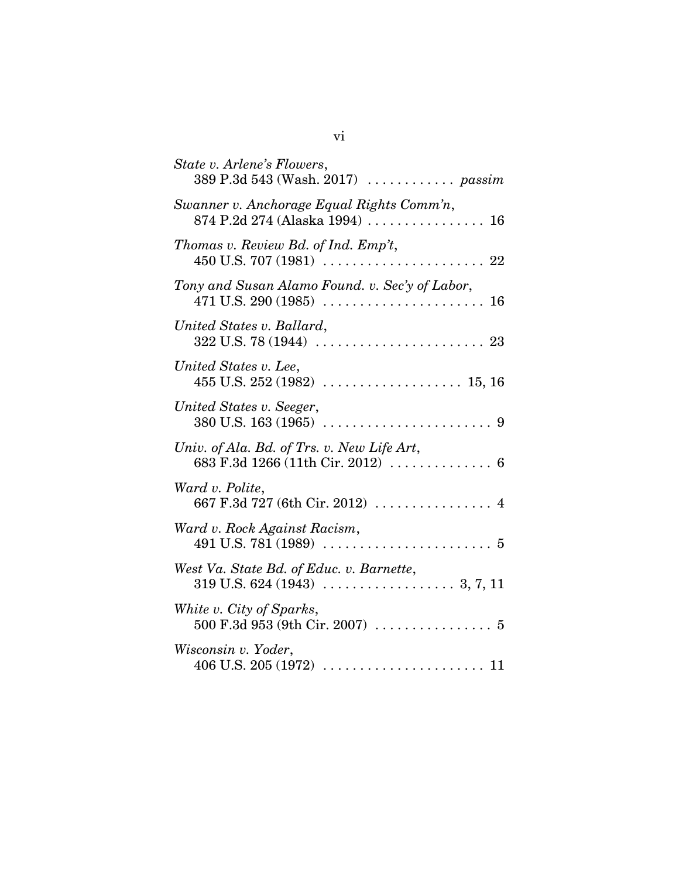| State v. Arlene's Flowers,<br>389 P.3d 543 (Wash. 2017)  passim             |
|-----------------------------------------------------------------------------|
| Swanner v. Anchorage Equal Rights Comm'n,<br>874 P.2d 274 (Alaska 1994)  16 |
| Thomas v. Review Bd. of Ind. Emp't,                                         |
| Tony and Susan Alamo Found. v. Sec'y of Labor,<br>16                        |
| United States v. Ballard,                                                   |
| United States v. Lee,                                                       |
| United States v. Seeger,                                                    |
| Univ. of Ala. Bd. of Trs. v. New Life Art,                                  |
| Ward v. Polite,<br>667 F.3d 727 (6th Cir. 2012)  4                          |
| Ward v. Rock Against Racism,                                                |
| West Va. State Bd. of Educ. v. Barnette,                                    |
| White v. City of Sparks,                                                    |
| Wisconsin v. Yoder,                                                         |
|                                                                             |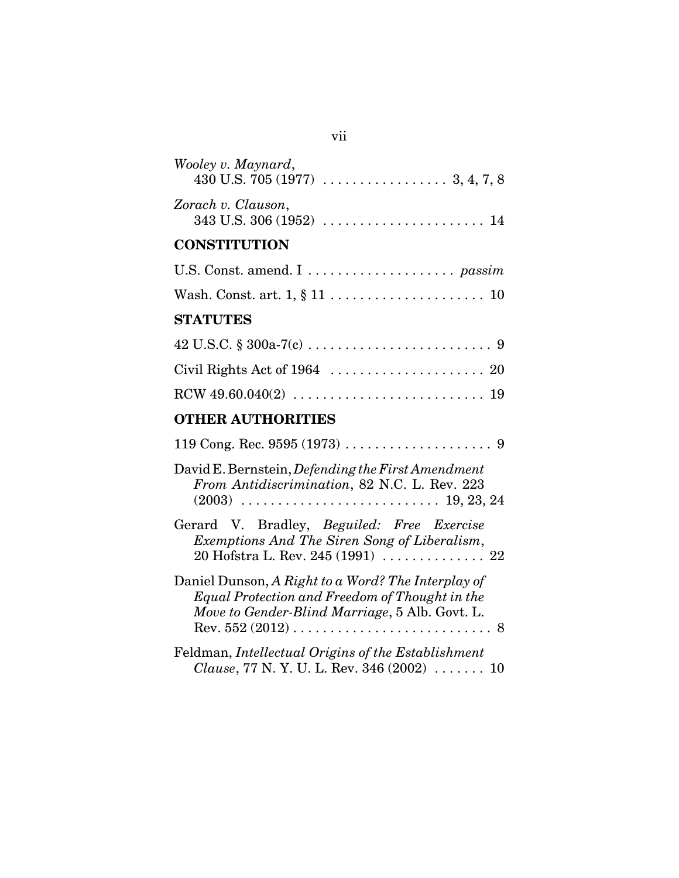| Wooley v. Maynard,                                                                                                                                     |
|--------------------------------------------------------------------------------------------------------------------------------------------------------|
| Zorach v. Clauson,                                                                                                                                     |
| <b>CONSTITUTION</b>                                                                                                                                    |
|                                                                                                                                                        |
| Wash. Const. art. $1, \S 11 \ldots \ldots \ldots \ldots \ldots \ldots \ldots 10$                                                                       |
| <b>STATUTES</b>                                                                                                                                        |
|                                                                                                                                                        |
|                                                                                                                                                        |
|                                                                                                                                                        |
| <b>OTHER AUTHORITIES</b>                                                                                                                               |
|                                                                                                                                                        |
| David E. Bernstein, Defending the First Amendment<br>From Antidiscrimination, 82 N.C. L. Rev. 223                                                      |
| Gerard V. Bradley, Beguiled: Free Exercise<br>Exemptions And The Siren Song of Liberalism,<br>20 Hofstra L. Rev. 245 $(1991)$ 22                       |
| Daniel Dunson, A Right to a Word? The Interplay of<br>Equal Protection and Freedom of Thought in the<br>Move to Gender-Blind Marriage, 5 Alb. Govt. L. |
| Feldman, Intellectual Origins of the Establishment<br>Clause, 77 N.Y.U.L. Rev. 346 (2002)  10                                                          |

# vii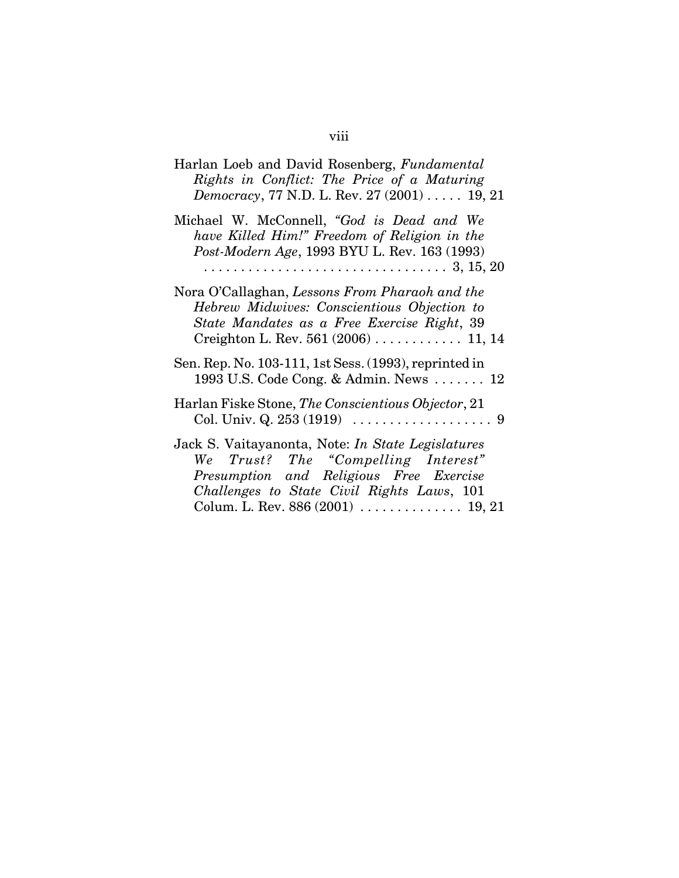| Harlan Loeb and David Rosenberg, Fundamental<br>Rights in Conflict: The Price of a Maturing<br><i>Democracy</i> , 77 N.D. L. Rev. 27 (2001) 19, 21                                       |
|------------------------------------------------------------------------------------------------------------------------------------------------------------------------------------------|
| Michael W. McConnell, "God is Dead and We<br>have Killed Him!" Freedom of Religion in the<br>Post-Modern Age, 1993 BYU L. Rev. 163 (1993)                                                |
| Nora O'Callaghan, Lessons From Pharaoh and the<br>Hebrew Midwives: Conscientious Objection to<br>State Mandates as a Free Exercise Right, 39<br>Creighton L. Rev. 561 $(2006)$ 11, 14    |
| Sen. Rep. No. 103-111, 1st Sess. (1993), reprinted in<br>1993 U.S. Code Cong. & Admin. News $\ldots$ 12                                                                                  |
| Harlan Fiske Stone, The Conscientious Objector, 21                                                                                                                                       |
| Jack S. Vaitayanonta, Note: <i>In State Legislatures</i><br>We Trust? The "Compelling Interest"<br>Presumption and Religious Free Exercise<br>Challenges to State Civil Rights Laws, 101 |

# viii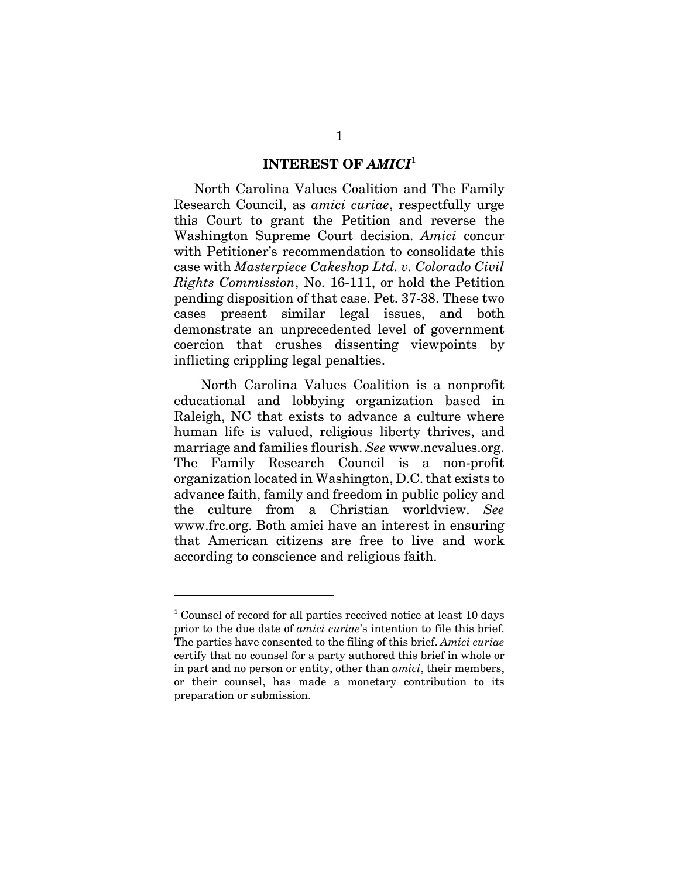#### **INTEREST OF** *AMICI*<sup>1</sup>

North Carolina Values Coalition and The Family Research Council, as *amici curiae*, respectfully urge this Court to grant the Petition and reverse the Washington Supreme Court decision. *Amici* concur with Petitioner's recommendation to consolidate this case with *Masterpiece Cakeshop Ltd. v. Colorado Civil Rights Commission*, No. 16-111, or hold the Petition pending disposition of that case. Pet. 37-38. These two cases present similar legal issues, and both demonstrate an unprecedented level of government coercion that crushes dissenting viewpoints by inflicting crippling legal penalties.

 North Carolina Values Coalition is a nonprofit educational and lobbying organization based in Raleigh, NC that exists to advance a culture where human life is valued, religious liberty thrives, and marriage and families flourish. *See* www.ncvalues.org. The Family Research Council is a non-profit organization located in Washington, D.C. that exists to advance faith, family and freedom in public policy and the culture from a Christian worldview. *See* www.frc.org. Both amici have an interest in ensuring that American citizens are free to live and work according to conscience and religious faith.

<sup>&</sup>lt;sup>1</sup> Counsel of record for all parties received notice at least 10 days prior to the due date of *amici curiae*'s intention to file this brief. The parties have consented to the filing of this brief. *Amici curiae* certify that no counsel for a party authored this brief in whole or in part and no person or entity, other than *amici*, their members, or their counsel, has made a monetary contribution to its preparation or submission.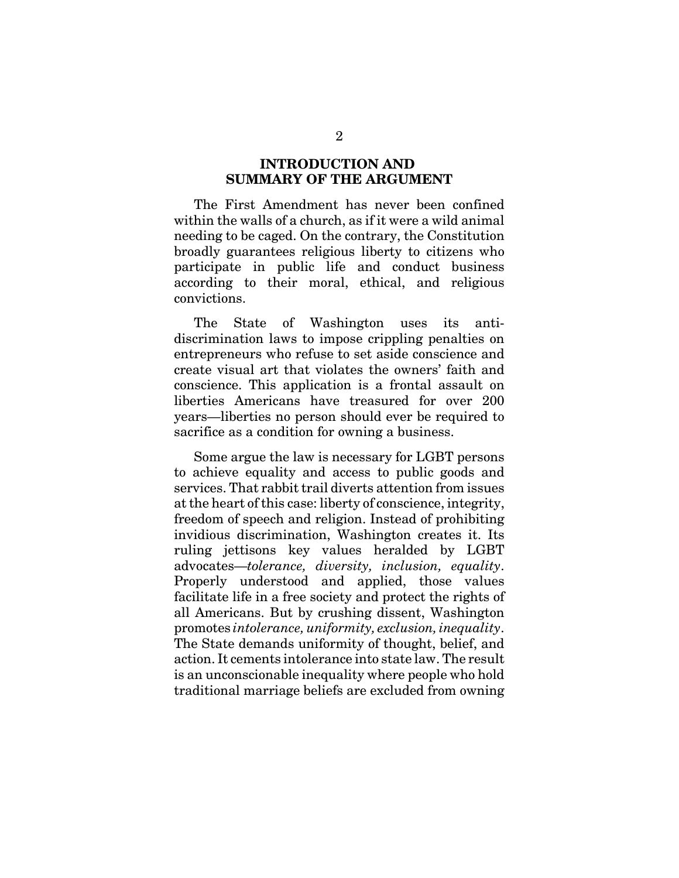#### **INTRODUCTION AND SUMMARY OF THE ARGUMENT**

The First Amendment has never been confined within the walls of a church, as if it were a wild animal needing to be caged. On the contrary, the Constitution broadly guarantees religious liberty to citizens who participate in public life and conduct business according to their moral, ethical, and religious convictions.

The State of Washington uses its antidiscrimination laws to impose crippling penalties on entrepreneurs who refuse to set aside conscience and create visual art that violates the owners' faith and conscience. This application is a frontal assault on liberties Americans have treasured for over 200 years—liberties no person should ever be required to sacrifice as a condition for owning a business.

Some argue the law is necessary for LGBT persons to achieve equality and access to public goods and services. That rabbit trail diverts attention from issues at the heart of this case: liberty of conscience, integrity, freedom of speech and religion. Instead of prohibiting invidious discrimination, Washington creates it. Its ruling jettisons key values heralded by LGBT advocates—*tolerance, diversity, inclusion, equality*. Properly understood and applied, those values facilitate life in a free society and protect the rights of all Americans. But by crushing dissent, Washington promotes *intolerance, uniformity, exclusion, inequality*. The State demands uniformity of thought, belief, and action. It cements intolerance into state law. The result is an unconscionable inequality where people who hold traditional marriage beliefs are excluded from owning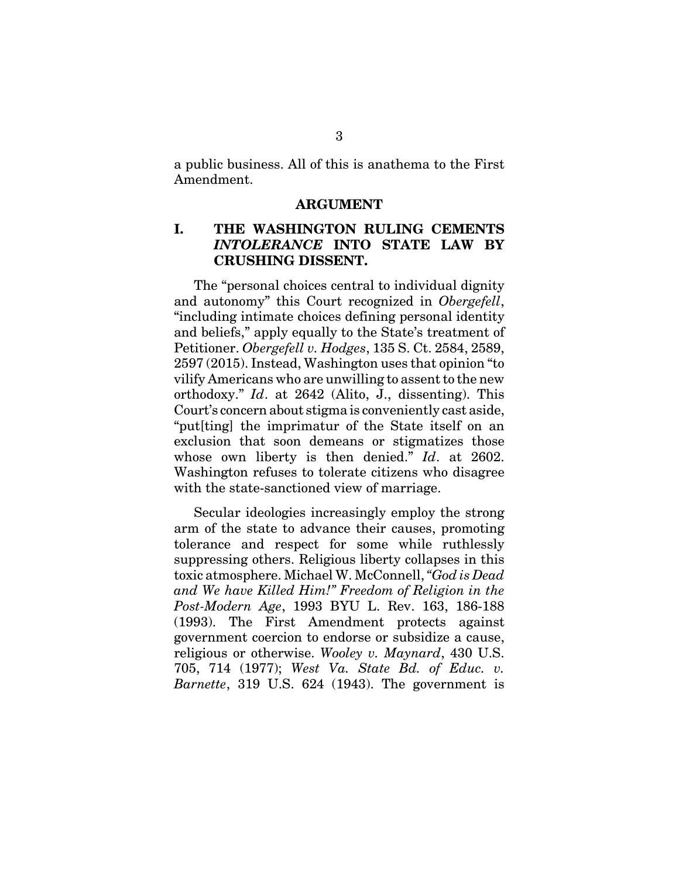a public business. All of this is anathema to the First Amendment.

#### **ARGUMENT**

#### **I. THE WASHINGTON RULING CEMENTS** *INTOLERANCE* **INTO STATE LAW BY CRUSHING DISSENT.**

The "personal choices central to individual dignity and autonomy" this Court recognized in *Obergefell*, "including intimate choices defining personal identity and beliefs," apply equally to the State's treatment of Petitioner. *Obergefell v. Hodges*, 135 S. Ct. 2584, 2589, 2597 (2015). Instead, Washington uses that opinion "to vilify Americans who are unwilling to assent to the new orthodoxy." *Id*. at 2642 (Alito, J., dissenting). This Court's concern about stigma is conveniently cast aside, "put[ting] the imprimatur of the State itself on an exclusion that soon demeans or stigmatizes those whose own liberty is then denied." *Id*. at 2602. Washington refuses to tolerate citizens who disagree with the state-sanctioned view of marriage.

Secular ideologies increasingly employ the strong arm of the state to advance their causes, promoting tolerance and respect for some while ruthlessly suppressing others. Religious liberty collapses in this toxic atmosphere. Michael W. McConnell, *"God is Dead and We have Killed Him!" Freedom of Religion in the Post-Modern Age*, 1993 BYU L. Rev. 163, 186-188 (1993). The First Amendment protects against government coercion to endorse or subsidize a cause, religious or otherwise. *Wooley v. Maynard*, 430 U.S. 705, 714 (1977); *West Va. State Bd. of Educ. v. Barnette*, 319 U.S. 624 (1943). The government is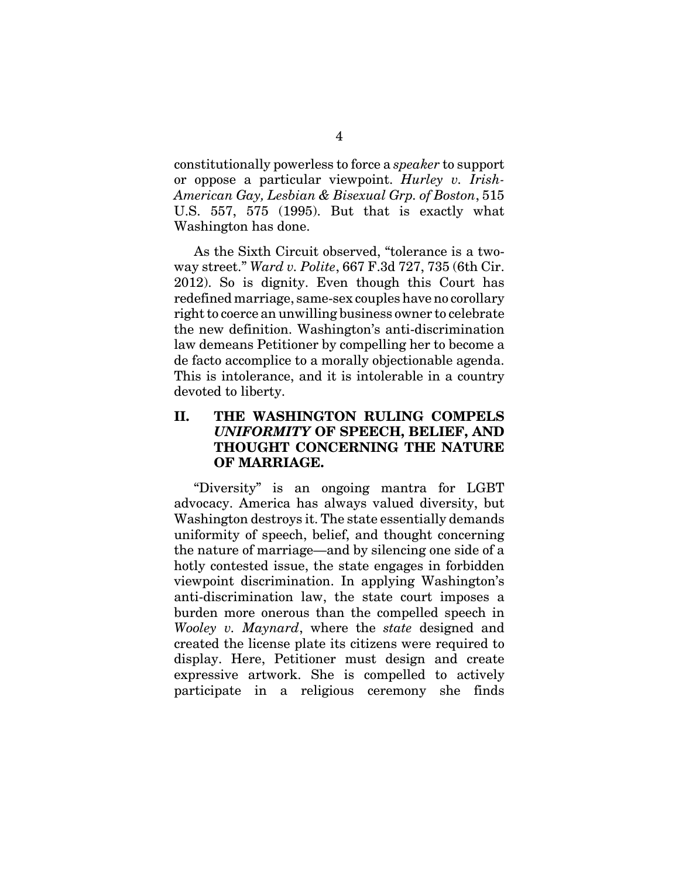constitutionally powerless to force a *speaker* to support or oppose a particular viewpoint. *Hurley v. Irish-American Gay, Lesbian & Bisexual Grp. of Boston*, 515 U.S. 557, 575 (1995). But that is exactly what Washington has done.

As the Sixth Circuit observed, "tolerance is a twoway street." *Ward v. Polite*, 667 F.3d 727, 735 (6th Cir. 2012). So is dignity. Even though this Court has redefined marriage, same-sex couples have no corollary right to coerce an unwilling business owner to celebrate the new definition. Washington's anti-discrimination law demeans Petitioner by compelling her to become a de facto accomplice to a morally objectionable agenda. This is intolerance, and it is intolerable in a country devoted to liberty.

## **II. THE WASHINGTON RULING COMPELS** *UNIFORMITY* **OF SPEECH, BELIEF, AND THOUGHT CONCERNING THE NATURE OF MARRIAGE.**

"Diversity" is an ongoing mantra for LGBT advocacy. America has always valued diversity, but Washington destroys it. The state essentially demands uniformity of speech, belief, and thought concerning the nature of marriage—and by silencing one side of a hotly contested issue, the state engages in forbidden viewpoint discrimination. In applying Washington's anti-discrimination law, the state court imposes a burden more onerous than the compelled speech in *Wooley v. Maynard*, where the *state* designed and created the license plate its citizens were required to display. Here, Petitioner must design and create expressive artwork. She is compelled to actively participate in a religious ceremony she finds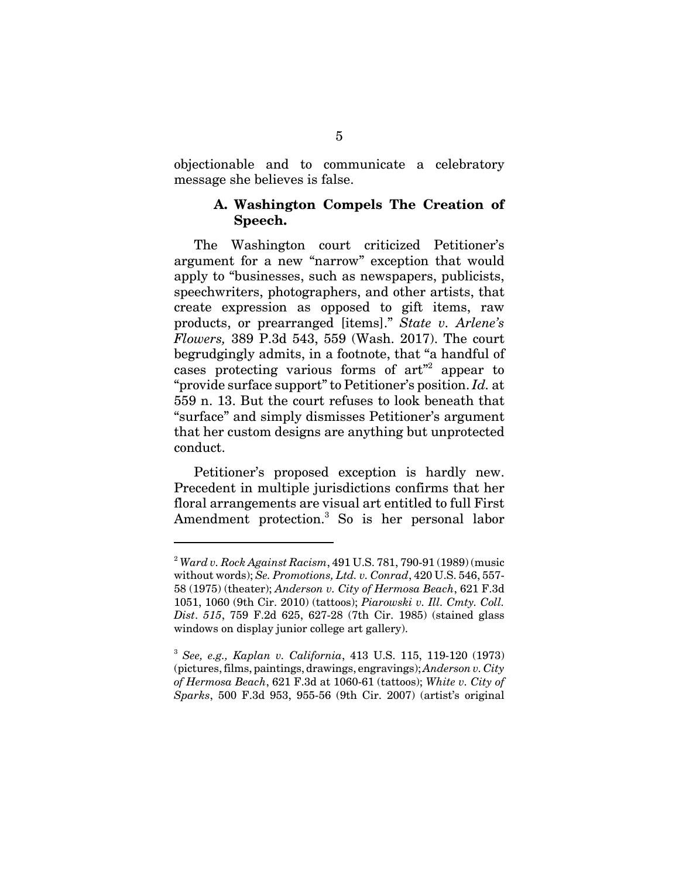objectionable and to communicate a celebratory message she believes is false.

#### **A. Washington Compels The Creation of Speech.**

The Washington court criticized Petitioner's argument for a new "narrow" exception that would apply to "businesses, such as newspapers, publicists, speechwriters, photographers, and other artists, that create expression as opposed to gift items, raw products, or prearranged [items]." *State v. Arlene's Flowers,* 389 P.3d 543, 559 (Wash. 2017). The court begrudgingly admits, in a footnote, that "a handful of cases protecting various forms of  $art^2$  appear to "provide surface support" to Petitioner's position. *Id.* at 559 n. 13. But the court refuses to look beneath that "surface" and simply dismisses Petitioner's argument that her custom designs are anything but unprotected conduct.

Petitioner's proposed exception is hardly new. Precedent in multiple jurisdictions confirms that her floral arrangements are visual art entitled to full First Amendment protection.<sup>3</sup> So is her personal labor

<sup>2</sup> *Ward v. Rock Against Racism*, 491 U.S. 781, 790-91 (1989) (music without words); *Se. Promotions, Ltd. v. Conrad*, 420 U.S. 546, 557- 58 (1975) (theater); *Anderson v. City of Hermosa Beach*, 621 F.3d 1051, 1060 (9th Cir. 2010) (tattoos); *Piarowski v. Ill. Cmty. Coll. Dist*. *515*, 759 F.2d 625, 627-28 (7th Cir. 1985) (stained glass windows on display junior college art gallery).

<sup>3</sup> *See, e.g., Kaplan v. California*, 413 U.S. 115, 119-120 (1973) (pictures, films, paintings, drawings, engravings); *Anderson v. City of Hermosa Beach*, 621 F.3d at 1060-61 (tattoos); *White v. City of Sparks*, 500 F.3d 953, 955-56 (9th Cir. 2007) (artist's original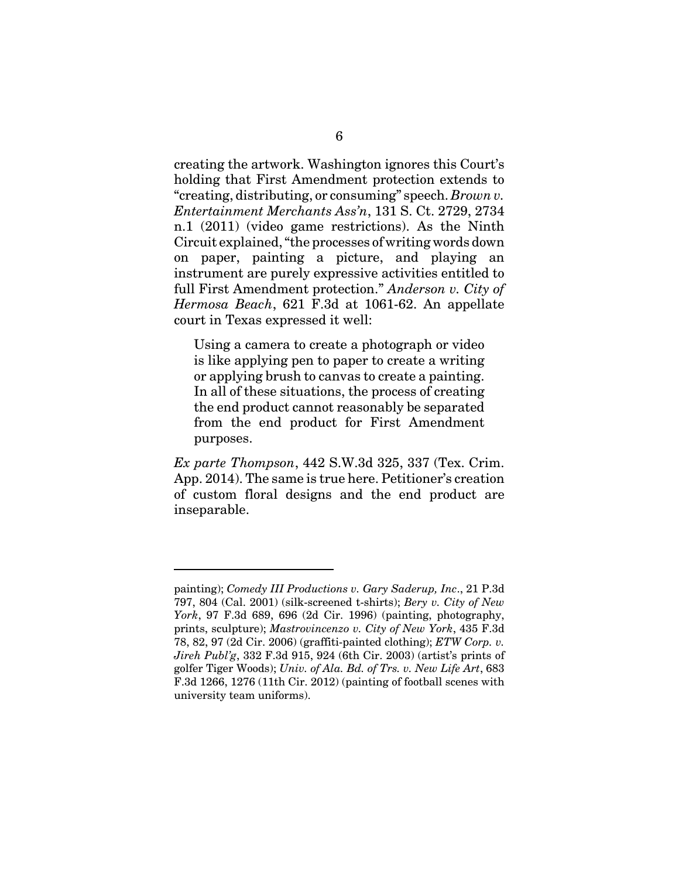creating the artwork. Washington ignores this Court's holding that First Amendment protection extends to "creating, distributing, or consuming" speech. *Brown v. Entertainment Merchants Ass'n*, 131 S. Ct. 2729, 2734 n.1 (2011) (video game restrictions). As the Ninth Circuit explained, "the processes of writing words down on paper, painting a picture, and playing an instrument are purely expressive activities entitled to full First Amendment protection." *Anderson v. City of Hermosa Beach*, 621 F.3d at 1061-62. An appellate court in Texas expressed it well:

Using a camera to create a photograph or video is like applying pen to paper to create a writing or applying brush to canvas to create a painting. In all of these situations, the process of creating the end product cannot reasonably be separated from the end product for First Amendment purposes.

*Ex parte Thompson*, 442 S.W.3d 325, 337 (Tex. Crim. App. 2014). The same is true here. Petitioner's creation of custom floral designs and the end product are inseparable.

painting); *Comedy III Productions v. Gary Saderup, Inc*., 21 P.3d 797, 804 (Cal. 2001) (silk-screened t-shirts); *Bery v. City of New York*, 97 F.3d 689, 696 (2d Cir. 1996) (painting, photography, prints, sculpture); *Mastrovincenzo v. City of New York*, 435 F.3d 78, 82, 97 (2d Cir. 2006) (graffiti-painted clothing); *ETW Corp. v. Jireh Publ'g*, 332 F.3d 915, 924 (6th Cir. 2003) (artist's prints of golfer Tiger Woods); *Univ. of Ala. Bd. of Trs. v. New Life Art*, 683 F.3d 1266, 1276 (11th Cir. 2012) (painting of football scenes with university team uniforms).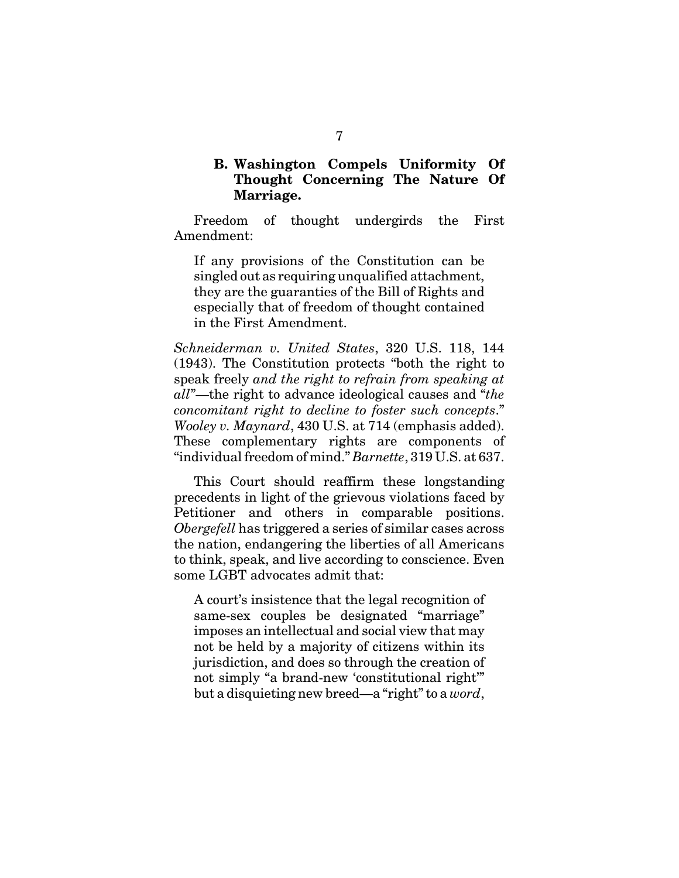### **B. Washington Compels Uniformity Of Thought Concerning The Nature Of Marriage.**

Freedom of thought undergirds the First Amendment:

If any provisions of the Constitution can be singled out as requiring unqualified attachment, they are the guaranties of the Bill of Rights and especially that of freedom of thought contained in the First Amendment.

*Schneiderman v. United States*, 320 U.S. 118, 144 (1943). The Constitution protects "both the right to speak freely *and the right to refrain from speaking at all*"—the right to advance ideological causes and "*the concomitant right to decline to foster such concepts*." *Wooley v. Maynard*, 430 U.S. at 714 (emphasis added). These complementary rights are components of "individual freedom of mind." *Barnette*, 319 U.S. at 637.

This Court should reaffirm these longstanding precedents in light of the grievous violations faced by Petitioner and others in comparable positions. *Obergefell* has triggered a series of similar cases across the nation, endangering the liberties of all Americans to think, speak, and live according to conscience. Even some LGBT advocates admit that:

A court's insistence that the legal recognition of same-sex couples be designated "marriage" imposes an intellectual and social view that may not be held by a majority of citizens within its jurisdiction, and does so through the creation of not simply "a brand-new 'constitutional right'" but a disquieting new breed—a "right" to a *word*,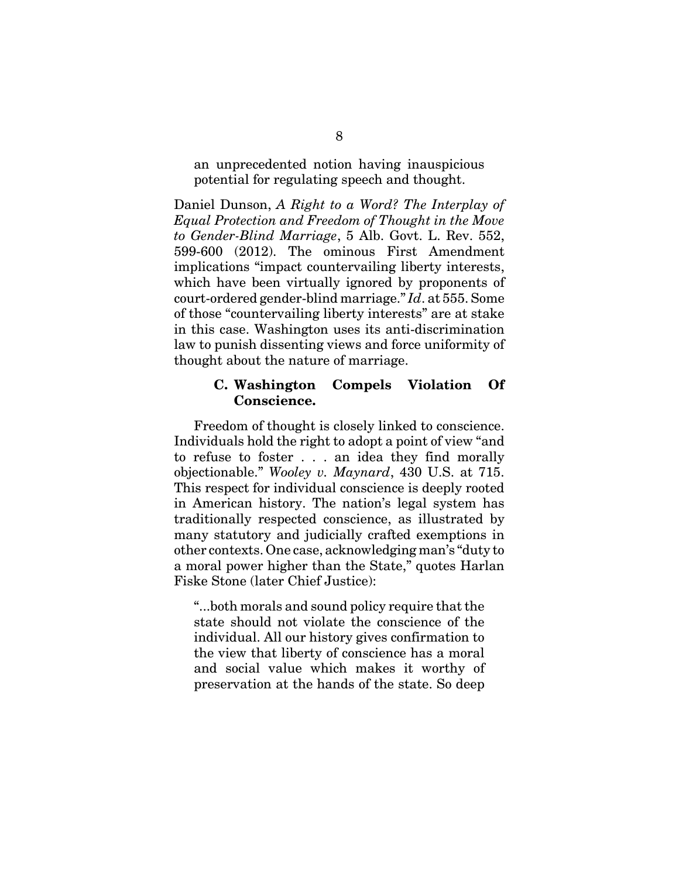an unprecedented notion having inauspicious potential for regulating speech and thought.

Daniel Dunson, *A Right to a Word? The Interplay of Equal Protection and Freedom of Thought in the Move to Gender-Blind Marriage*, 5 Alb. Govt. L. Rev. 552, 599-600 (2012). The ominous First Amendment implications "impact countervailing liberty interests, which have been virtually ignored by proponents of court-ordered gender-blind marriage." *Id*. at 555. Some of those "countervailing liberty interests" are at stake in this case. Washington uses its anti-discrimination law to punish dissenting views and force uniformity of thought about the nature of marriage.

#### **C. Washington Compels Violation Of Conscience.**

Freedom of thought is closely linked to conscience. Individuals hold the right to adopt a point of view "and to refuse to foster . . . an idea they find morally objectionable." *Wooley v. Maynard*, 430 U.S. at 715. This respect for individual conscience is deeply rooted in American history. The nation's legal system has traditionally respected conscience, as illustrated by many statutory and judicially crafted exemptions in other contexts. One case, acknowledging man's "duty to a moral power higher than the State," quotes Harlan Fiske Stone (later Chief Justice):

"...both morals and sound policy require that the state should not violate the conscience of the individual. All our history gives confirmation to the view that liberty of conscience has a moral and social value which makes it worthy of preservation at the hands of the state. So deep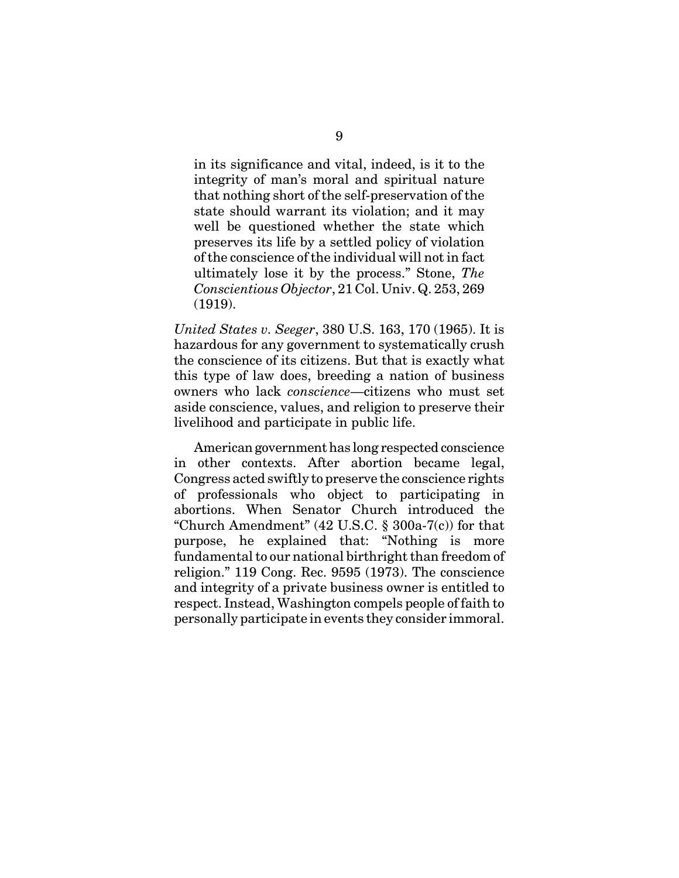in its significance and vital, indeed, is it to the integrity of man's moral and spiritual nature that nothing short of the self-preservation of the state should warrant its violation; and it may well be questioned whether the state which preserves its life by a settled policy of violation of the conscience of the individual will not in fact ultimately lose it by the process." Stone, *The Conscientious Objector*, 21 Col. Univ. Q. 253, 269 (1919).

*United States v. Seeger*, 380 U.S. 163, 170 (1965). It is hazardous for any government to systematically crush the conscience of its citizens. But that is exactly what this type of law does, breeding a nation of business owners who lack *conscience*—citizens who must set aside conscience, values, and religion to preserve their livelihood and participate in public life.

American government has long respected conscience in other contexts. After abortion became legal, Congress acted swiftly to preserve the conscience rights of professionals who object to participating in abortions. When Senator Church introduced the "Church Amendment"  $(42 \text{ U.S.C. } § 300a-7(c))$  for that purpose, he explained that: "Nothing is more fundamental to our national birthright than freedom of religion." 119 Cong. Rec. 9595 (1973). The conscience and integrity of a private business owner is entitled to respect. Instead, Washington compels people of faith to personally participate in events they consider immoral.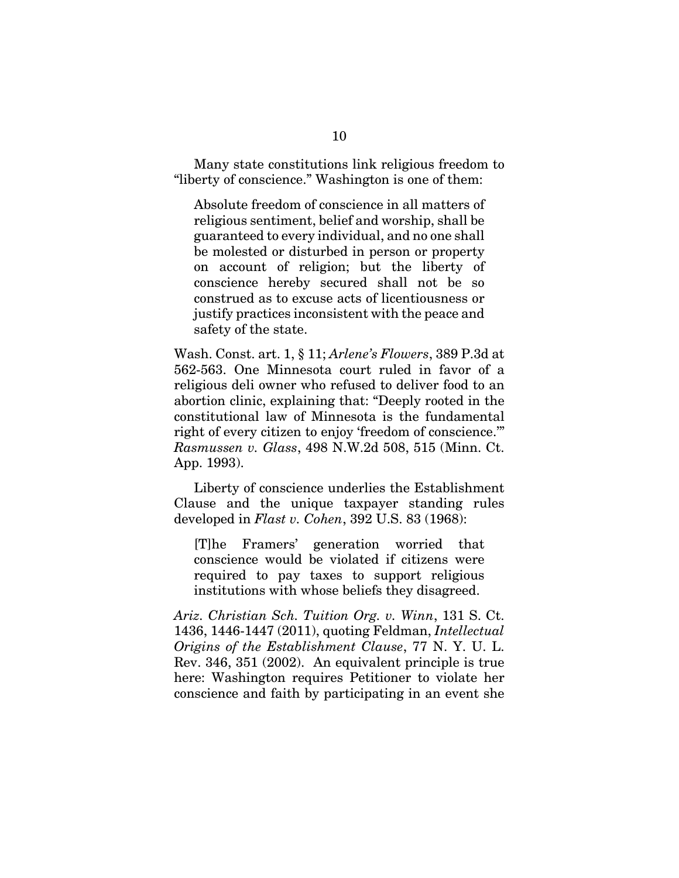Many state constitutions link religious freedom to "liberty of conscience." Washington is one of them:

Absolute freedom of conscience in all matters of religious sentiment, belief and worship, shall be guaranteed to every individual, and no one shall be molested or disturbed in person or property on account of religion; but the liberty of conscience hereby secured shall not be so construed as to excuse acts of licentiousness or justify practices inconsistent with the peace and safety of the state.

Wash. Const. art. 1, § 11; *Arlene's Flowers*, 389 P.3d at 562-563. One Minnesota court ruled in favor of a religious deli owner who refused to deliver food to an abortion clinic, explaining that: "Deeply rooted in the constitutional law of Minnesota is the fundamental right of every citizen to enjoy 'freedom of conscience.'" *Rasmussen v. Glass*, 498 N.W.2d 508, 515 (Minn. Ct. App. 1993).

Liberty of conscience underlies the Establishment Clause and the unique taxpayer standing rules developed in *Flast v. Cohen*, 392 U.S. 83 (1968):

[T]he Framers' generation worried that conscience would be violated if citizens were required to pay taxes to support religious institutions with whose beliefs they disagreed.

*Ariz. Christian Sch. Tuition Org. v. Winn*, 131 S. Ct. 1436, 1446-1447 (2011), quoting Feldman, *Intellectual Origins of the Establishment Clause*, 77 N. Y. U. L. Rev. 346, 351 (2002). An equivalent principle is true here: Washington requires Petitioner to violate her conscience and faith by participating in an event she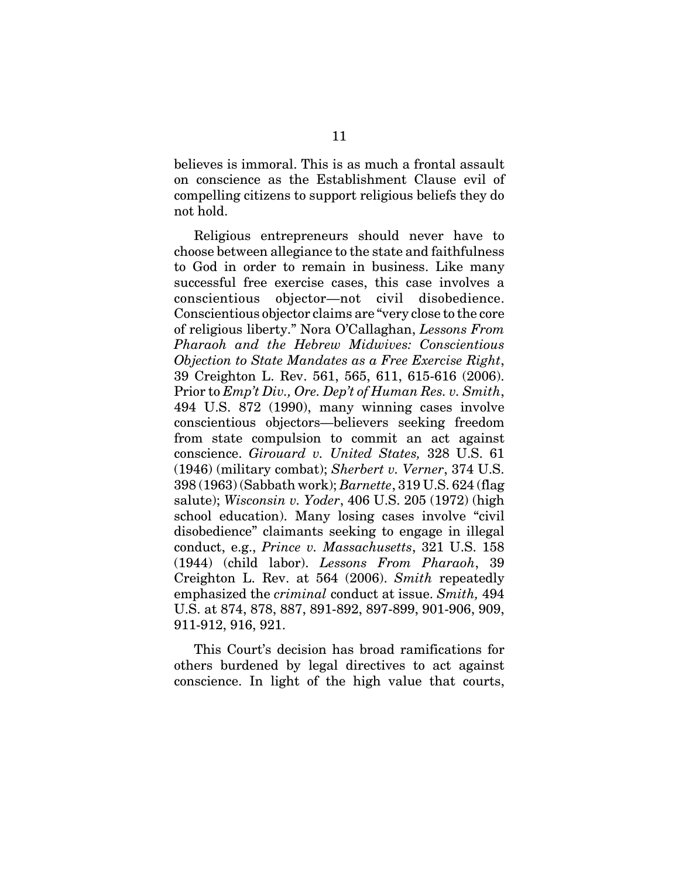believes is immoral. This is as much a frontal assault on conscience as the Establishment Clause evil of compelling citizens to support religious beliefs they do not hold.

Religious entrepreneurs should never have to choose between allegiance to the state and faithfulness to God in order to remain in business. Like many successful free exercise cases, this case involves a conscientious objector—not civil disobedience. Conscientious objector claims are "very close to the core of religious liberty." Nora O'Callaghan, *Lessons From Pharaoh and the Hebrew Midwives: Conscientious Objection to State Mandates as a Free Exercise Right*, 39 Creighton L. Rev. 561, 565, 611, 615-616 (2006). Prior to *Emp't Div., Ore. Dep't of Human Res. v. Smith*, 494 U.S. 872 (1990), many winning cases involve conscientious objectors—believers seeking freedom from state compulsion to commit an act against conscience. *Girouard v. United States,* 328 U.S. 61 (1946) (military combat); *Sherbert v. Verner*, 374 U.S. 398 (1963) (Sabbath work); *Barnette*, 319 U.S. 624 (flag salute); *Wisconsin v. Yoder*, 406 U.S. 205 (1972) (high school education). Many losing cases involve "civil disobedience" claimants seeking to engage in illegal conduct, e.g., *Prince v. Massachusetts*, 321 U.S. 158 (1944) (child labor). *Lessons From Pharaoh*, 39 Creighton L. Rev. at 564 (2006). *Smith* repeatedly emphasized the *criminal* conduct at issue. *Smith,* 494 U.S. at 874, 878, 887, 891-892, 897-899, 901-906, 909, 911-912, 916, 921.

This Court's decision has broad ramifications for others burdened by legal directives to act against conscience. In light of the high value that courts,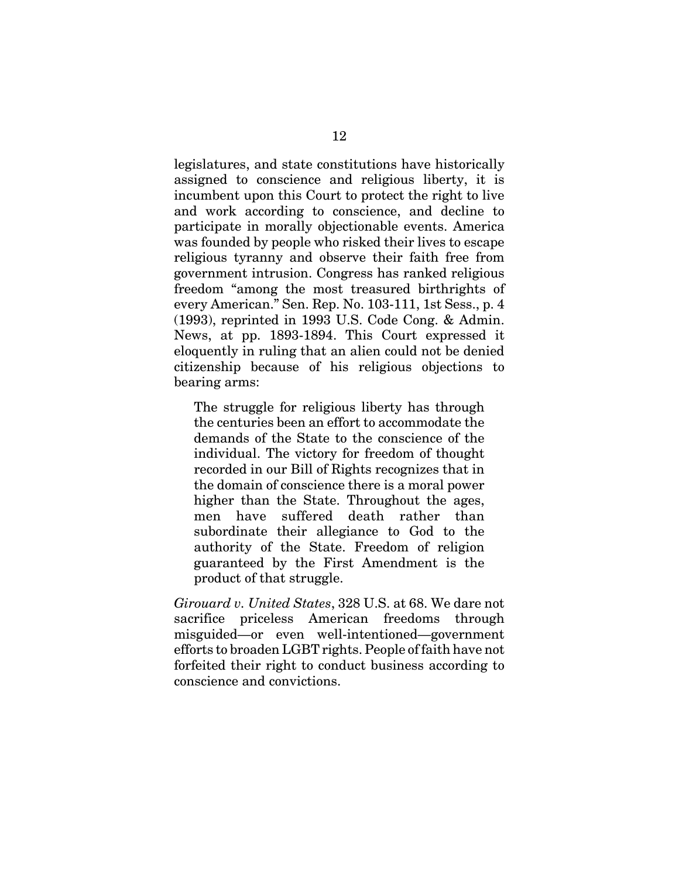legislatures, and state constitutions have historically assigned to conscience and religious liberty, it is incumbent upon this Court to protect the right to live and work according to conscience, and decline to participate in morally objectionable events. America was founded by people who risked their lives to escape religious tyranny and observe their faith free from government intrusion. Congress has ranked religious freedom "among the most treasured birthrights of every American." Sen. Rep. No. 103-111, 1st Sess., p. 4 (1993), reprinted in 1993 U.S. Code Cong. & Admin. News, at pp. 1893-1894. This Court expressed it eloquently in ruling that an alien could not be denied citizenship because of his religious objections to bearing arms:

The struggle for religious liberty has through the centuries been an effort to accommodate the demands of the State to the conscience of the individual. The victory for freedom of thought recorded in our Bill of Rights recognizes that in the domain of conscience there is a moral power higher than the State. Throughout the ages, men have suffered death rather than subordinate their allegiance to God to the authority of the State. Freedom of religion guaranteed by the First Amendment is the product of that struggle.

*Girouard v. United States*, 328 U.S. at 68. We dare not sacrifice priceless American freedoms through misguided—or even well-intentioned—government efforts to broaden LGBT rights. People of faith have not forfeited their right to conduct business according to conscience and convictions.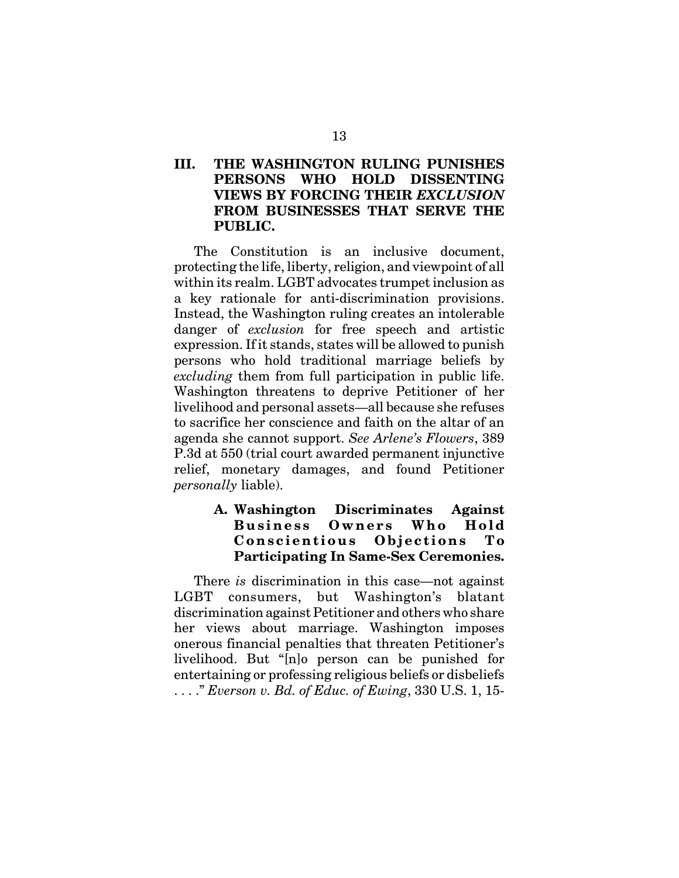## **III. THE WASHINGTON RULING PUNISHES PERSONS WHO HOLD DISSENTING VIEWS BY FORCING THEIR** *EXCLUSION* **FROM BUSINESSES THAT SERVE THE PUBLIC.**

The Constitution is an inclusive document, protecting the life, liberty, religion, and viewpoint of all within its realm. LGBT advocates trumpet inclusion as a key rationale for anti-discrimination provisions. Instead, the Washington ruling creates an intolerable danger of *exclusion* for free speech and artistic expression. If it stands, states will be allowed to punish persons who hold traditional marriage beliefs by *excluding* them from full participation in public life. Washington threatens to deprive Petitioner of her livelihood and personal assets—all because she refuses to sacrifice her conscience and faith on the altar of an agenda she cannot support. *See Arlene's Flowers*, 389 P.3d at 550 (trial court awarded permanent injunctive relief, monetary damages, and found Petitioner *personally* liable).

## **A. Washington Discriminates Against Business Owners Who Hold Conscientious Objections To Participating In Same-Sex Ceremonies.**

There *is* discrimination in this case—not against LGBT consumers, but Washington's blatant discrimination against Petitioner and others who share her views about marriage. Washington imposes onerous financial penalties that threaten Petitioner's livelihood. But "[n]o person can be punished for entertaining or professing religious beliefs or disbeliefs . . . ." *Everson v. Bd. of Educ. of Ewing*, 330 U.S. 1, 15-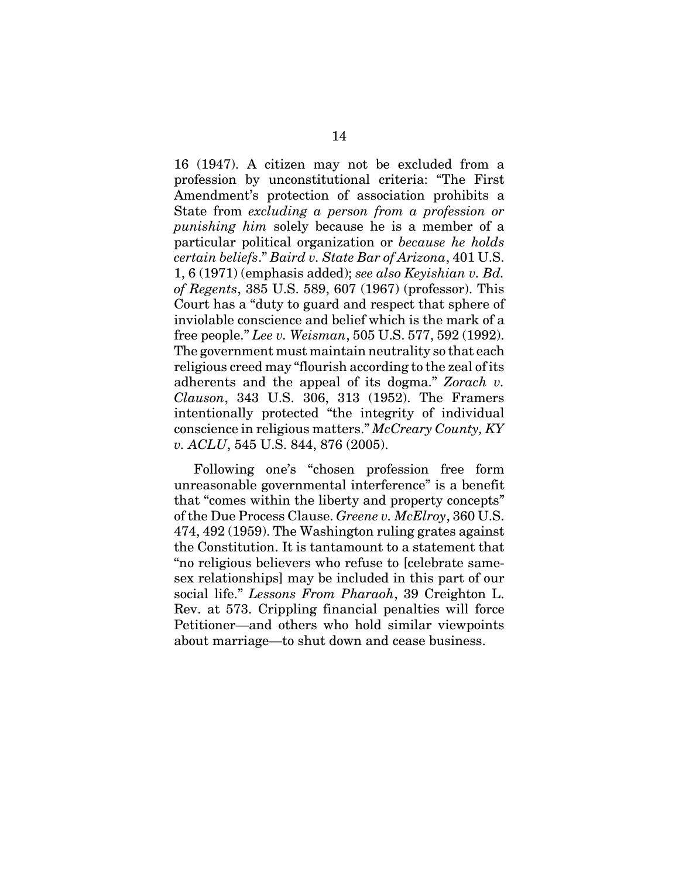16 (1947). A citizen may not be excluded from a profession by unconstitutional criteria: "The First Amendment's protection of association prohibits a State from *excluding a person from a profession or punishing him* solely because he is a member of a particular political organization or *because he holds certain beliefs*." *Baird v. State Bar of Arizona*, 401 U.S. 1, 6 (1971) (emphasis added); *see also Keyishian v. Bd. of Regents*, 385 U.S. 589, 607 (1967) (professor). This Court has a "duty to guard and respect that sphere of inviolable conscience and belief which is the mark of a free people." *Lee v. Weisman*, 505 U.S. 577, 592 (1992). The government must maintain neutrality so that each religious creed may "flourish according to the zeal of its adherents and the appeal of its dogma." *Zorach v. Clauson*, 343 U.S. 306, 313 (1952). The Framers intentionally protected "the integrity of individual conscience in religious matters." *McCreary County, KY v. ACLU*, 545 U.S. 844, 876 (2005).

Following one's "chosen profession free form unreasonable governmental interference" is a benefit that "comes within the liberty and property concepts" of the Due Process Clause. *Greene v. McElroy*, 360 U.S. 474, 492 (1959). The Washington ruling grates against the Constitution. It is tantamount to a statement that "no religious believers who refuse to [celebrate samesex relationships] may be included in this part of our social life." *Lessons From Pharaoh*, 39 Creighton L. Rev. at 573. Crippling financial penalties will force Petitioner—and others who hold similar viewpoints about marriage—to shut down and cease business.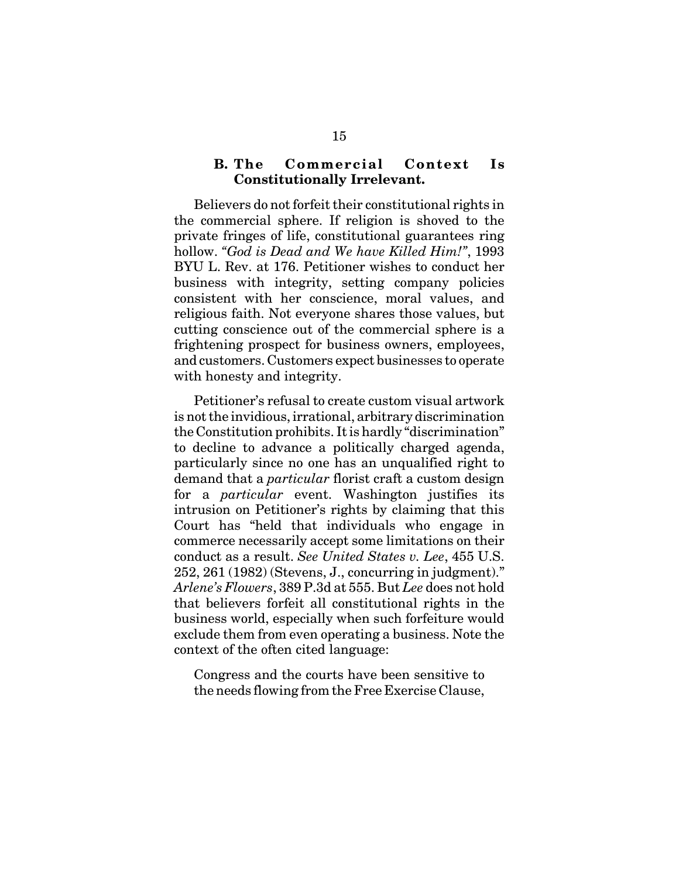#### **B. The Commercial Context Is Constitutionally Irrelevant.**

Believers do not forfeit their constitutional rights in the commercial sphere. If religion is shoved to the private fringes of life, constitutional guarantees ring hollow. *"God is Dead and We have Killed Him!"*, 1993 BYU L. Rev. at 176. Petitioner wishes to conduct her business with integrity, setting company policies consistent with her conscience, moral values, and religious faith. Not everyone shares those values, but cutting conscience out of the commercial sphere is a frightening prospect for business owners, employees, and customers. Customers expect businesses to operate with honesty and integrity.

Petitioner's refusal to create custom visual artwork is not the invidious, irrational, arbitrary discrimination the Constitution prohibits. It is hardly "discrimination" to decline to advance a politically charged agenda, particularly since no one has an unqualified right to demand that a *particular* florist craft a custom design for a *particular* event. Washington justifies its intrusion on Petitioner's rights by claiming that this Court has "held that individuals who engage in commerce necessarily accept some limitations on their conduct as a result. *See United States v. Lee*, 455 U.S. 252, 261 (1982) (Stevens, J., concurring in judgment)." *Arlene's Flowers*, 389 P.3d at 555. But *Lee* does not hold that believers forfeit all constitutional rights in the business world, especially when such forfeiture would exclude them from even operating a business. Note the context of the often cited language:

Congress and the courts have been sensitive to the needs flowing from the Free Exercise Clause,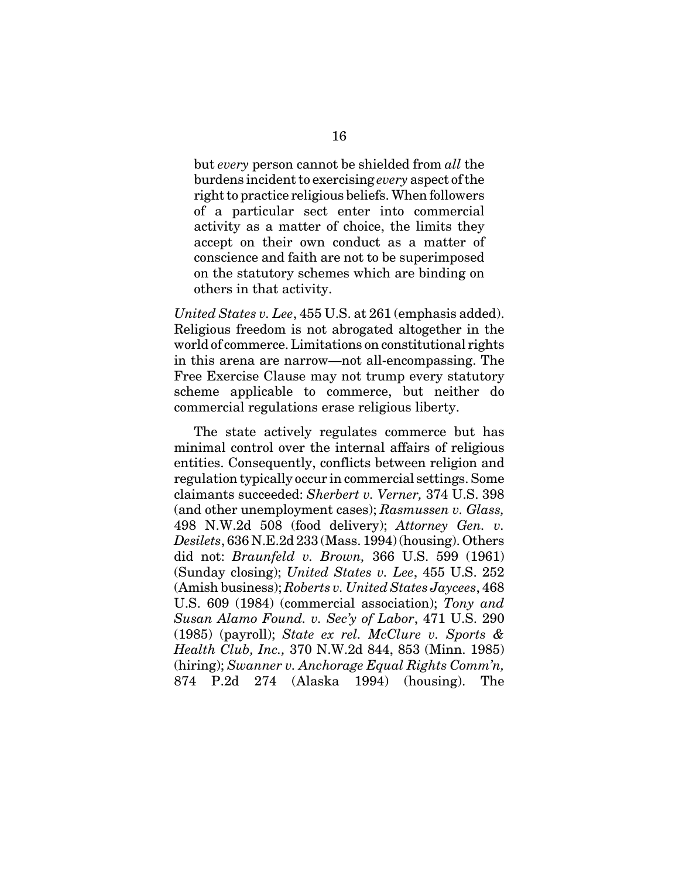but *every* person cannot be shielded from *all* the burdens incident to exercising *every* aspect of the right to practice religious beliefs. When followers of a particular sect enter into commercial activity as a matter of choice, the limits they accept on their own conduct as a matter of conscience and faith are not to be superimposed on the statutory schemes which are binding on others in that activity.

*United States v. Lee*, 455 U.S. at 261 (emphasis added). Religious freedom is not abrogated altogether in the world of commerce. Limitations on constitutional rights in this arena are narrow—not all-encompassing. The Free Exercise Clause may not trump every statutory scheme applicable to commerce, but neither do commercial regulations erase religious liberty.

The state actively regulates commerce but has minimal control over the internal affairs of religious entities. Consequently, conflicts between religion and regulation typically occur in commercial settings. Some claimants succeeded: *Sherbert v. Verner,* 374 U.S. 398 (and other unemployment cases); *Rasmussen v. Glass,* 498 N.W.2d 508 (food delivery); *Attorney Gen. v. Desilets*, 636 N.E.2d 233 (Mass. 1994) (housing). Others did not: *Braunfeld v. Brown,* 366 U.S. 599 (1961) (Sunday closing); *United States v. Lee*, 455 U.S. 252 (Amish business); *Roberts v. United States Jaycees*, 468 U.S. 609 (1984) (commercial association); *Tony and Susan Alamo Found. v. Sec'y of Labor*, 471 U.S. 290 (1985) (payroll); *State ex rel. McClure v. Sports & Health Club, Inc.,* 370 N.W.2d 844, 853 (Minn. 1985) (hiring); *Swanner v. Anchorage Equal Rights Comm'n,* 874 P.2d 274 (Alaska 1994) (housing). The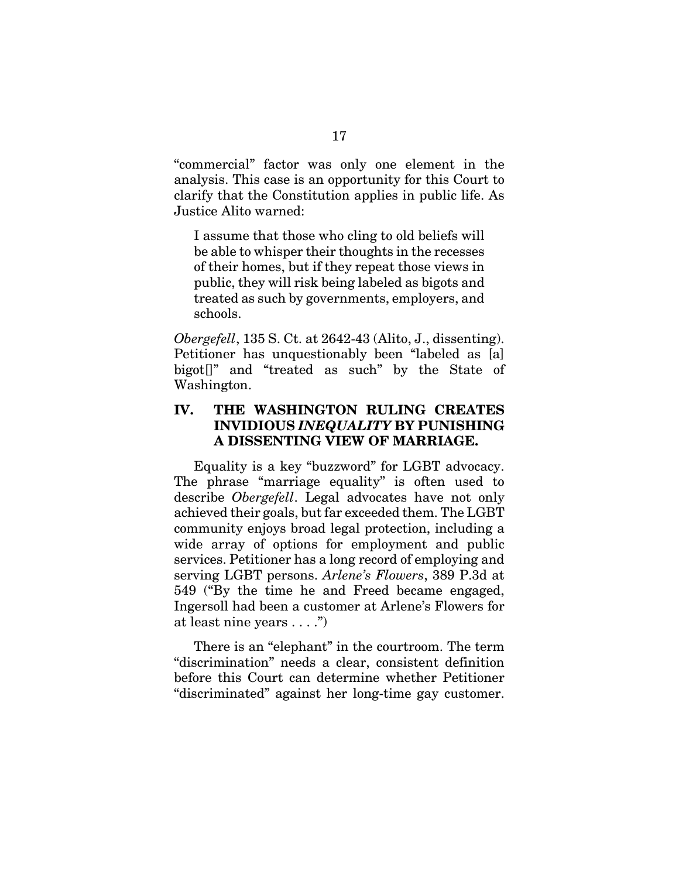"commercial" factor was only one element in the analysis. This case is an opportunity for this Court to clarify that the Constitution applies in public life. As Justice Alito warned:

I assume that those who cling to old beliefs will be able to whisper their thoughts in the recesses of their homes, but if they repeat those views in public, they will risk being labeled as bigots and treated as such by governments, employers, and schools.

*Obergefell*, 135 S. Ct. at 2642-43 (Alito, J., dissenting). Petitioner has unquestionably been "labeled as [a] bigot[]" and "treated as such" by the State of Washington.

#### **IV. THE WASHINGTON RULING CREATES INVIDIOUS** *INEQUALITY* **BY PUNISHING A DISSENTING VIEW OF MARRIAGE.**

Equality is a key "buzzword" for LGBT advocacy. The phrase "marriage equality" is often used to describe *Obergefell*. Legal advocates have not only achieved their goals, but far exceeded them. The LGBT community enjoys broad legal protection, including a wide array of options for employment and public services. Petitioner has a long record of employing and serving LGBT persons. *Arlene's Flowers*, 389 P.3d at 549 ("By the time he and Freed became engaged, Ingersoll had been a customer at Arlene's Flowers for at least nine years . . . .")

There is an "elephant" in the courtroom. The term "discrimination" needs a clear, consistent definition before this Court can determine whether Petitioner "discriminated" against her long-time gay customer.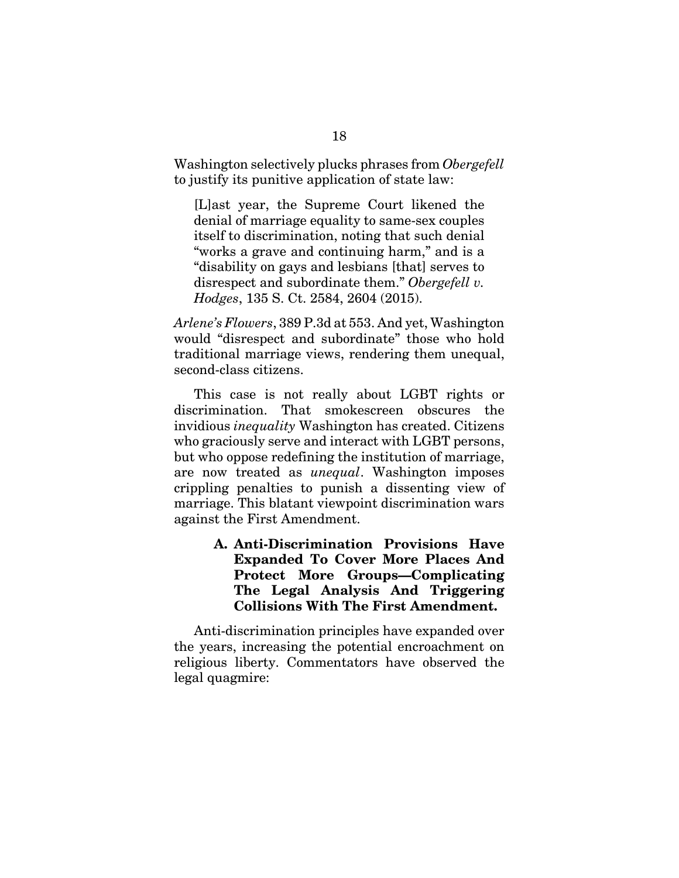Washington selectively plucks phrases from *Obergefell* to justify its punitive application of state law:

[L]ast year, the Supreme Court likened the denial of marriage equality to same-sex couples itself to discrimination, noting that such denial "works a grave and continuing harm," and is a "disability on gays and lesbians [that] serves to disrespect and subordinate them." *Obergefell v. Hodges*, 135 S. Ct. 2584, 2604 (2015).

*Arlene's Flowers*, 389 P.3d at 553. And yet, Washington would "disrespect and subordinate" those who hold traditional marriage views, rendering them unequal, second-class citizens.

This case is not really about LGBT rights or discrimination. That smokescreen obscures the invidious *inequality* Washington has created. Citizens who graciously serve and interact with LGBT persons, but who oppose redefining the institution of marriage, are now treated as *unequal*. Washington imposes crippling penalties to punish a dissenting view of marriage. This blatant viewpoint discrimination wars against the First Amendment.

## **A. Anti-Discrimination Provisions Have Expanded To Cover More Places And Protect More Groups—Complicating The Legal Analysis And Triggering Collisions With The First Amendment.**

Anti-discrimination principles have expanded over the years, increasing the potential encroachment on religious liberty. Commentators have observed the legal quagmire: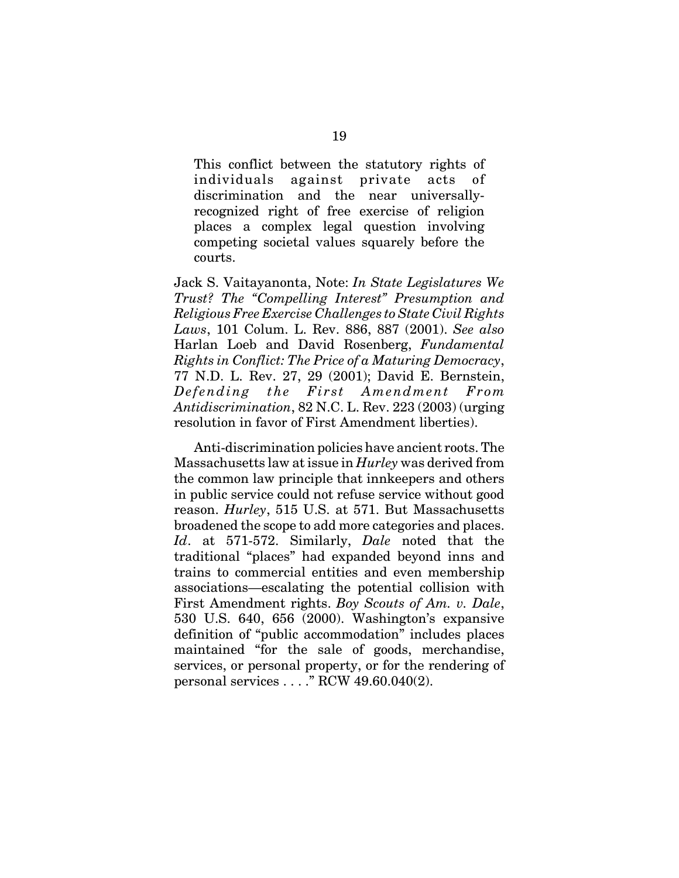This conflict between the statutory rights of individuals against private acts of discrimination and the near universallyrecognized right of free exercise of religion places a complex legal question involving competing societal values squarely before the courts.

Jack S. Vaitayanonta, Note: *In State Legislatures We Trust? The "Compelling Interest" Presumption and Religious Free Exercise Challenges to State Civil Rights Laws*, 101 Colum. L. Rev. 886, 887 (2001). *See also* Harlan Loeb and David Rosenberg, *Fundamental Rights in Conflict: The Price of a Maturing Democracy*, 77 N.D. L. Rev. 27, 29 (2001); David E. Bernstein, *Defending the First Amendment From Antidiscrimination*, 82 N.C. L. Rev. 223 (2003) (urging resolution in favor of First Amendment liberties).

Anti-discrimination policies have ancient roots. The Massachusetts law at issue in *Hurley* was derived from the common law principle that innkeepers and others in public service could not refuse service without good reason. *Hurley*, 515 U.S. at 571. But Massachusetts broadened the scope to add more categories and places. *Id*. at 571-572. Similarly, *Dale* noted that the traditional "places" had expanded beyond inns and trains to commercial entities and even membership associations—escalating the potential collision with First Amendment rights. *Boy Scouts of Am. v. Dale*, 530 U.S. 640, 656 (2000). Washington's expansive definition of "public accommodation" includes places maintained "for the sale of goods, merchandise, services, or personal property, or for the rendering of personal services . . . ." RCW 49.60.040(2).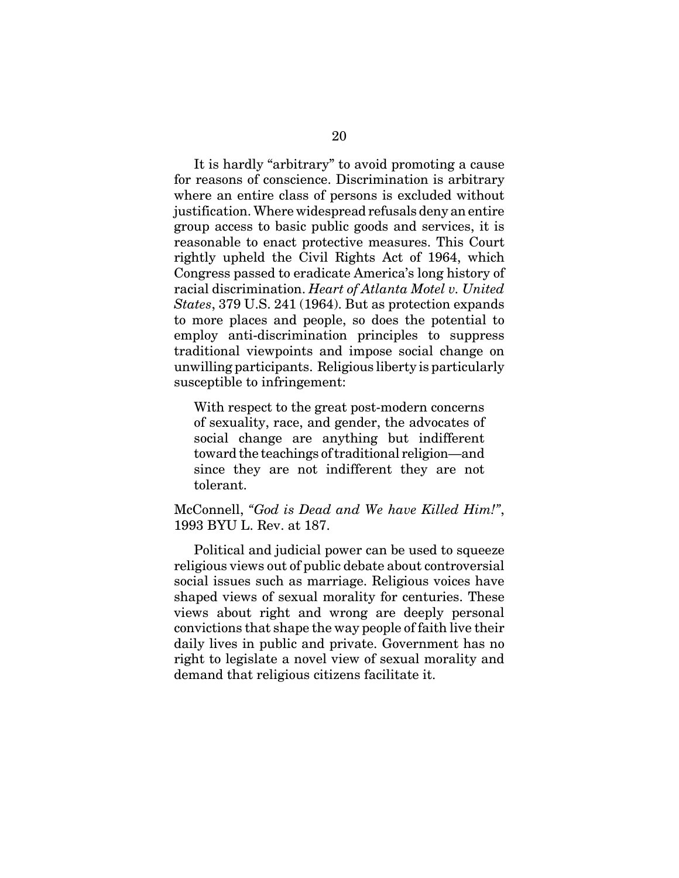It is hardly "arbitrary" to avoid promoting a cause for reasons of conscience. Discrimination is arbitrary where an entire class of persons is excluded without justification. Where widespread refusals deny an entire group access to basic public goods and services, it is reasonable to enact protective measures. This Court rightly upheld the Civil Rights Act of 1964, which Congress passed to eradicate America's long history of racial discrimination. *Heart of Atlanta Motel v. United States*, 379 U.S. 241 (1964). But as protection expands to more places and people, so does the potential to employ anti-discrimination principles to suppress traditional viewpoints and impose social change on unwilling participants. Religious liberty is particularly susceptible to infringement:

With respect to the great post-modern concerns of sexuality, race, and gender, the advocates of social change are anything but indifferent toward the teachings of traditional religion—and since they are not indifferent they are not tolerant.

McConnell, *"God is Dead and We have Killed Him!"*, 1993 BYU L. Rev. at 187.

Political and judicial power can be used to squeeze religious views out of public debate about controversial social issues such as marriage. Religious voices have shaped views of sexual morality for centuries. These views about right and wrong are deeply personal convictions that shape the way people of faith live their daily lives in public and private. Government has no right to legislate a novel view of sexual morality and demand that religious citizens facilitate it.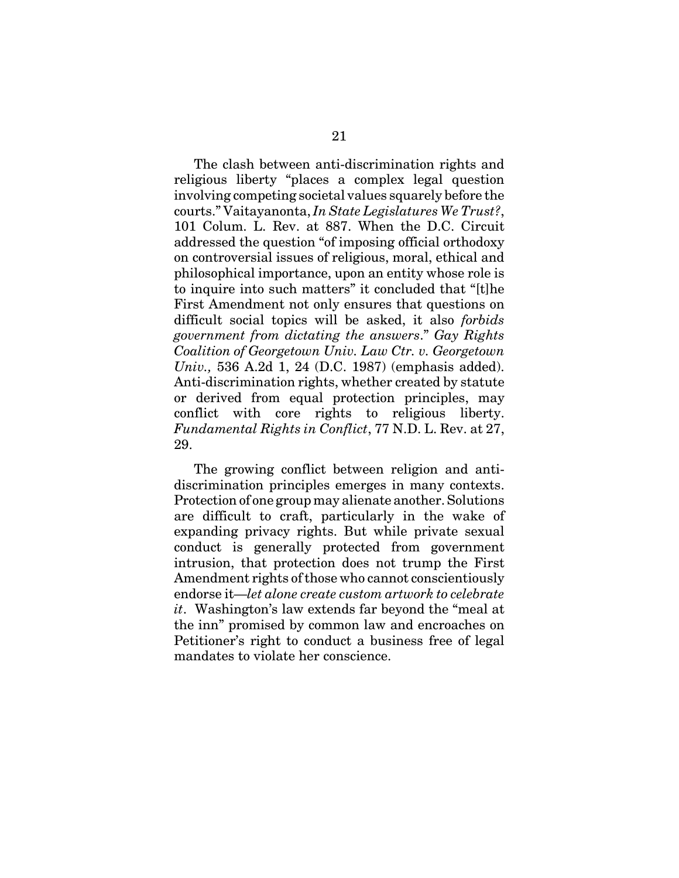The clash between anti-discrimination rights and religious liberty "places a complex legal question involving competing societal values squarely before the courts." Vaitayanonta, *In State Legislatures We Trust?*, 101 Colum. L. Rev. at 887. When the D.C. Circuit addressed the question "of imposing official orthodoxy on controversial issues of religious, moral, ethical and philosophical importance, upon an entity whose role is to inquire into such matters" it concluded that "[t]he First Amendment not only ensures that questions on difficult social topics will be asked, it also *forbids government from dictating the answers*." *Gay Rights Coalition of Georgetown Univ. Law Ctr. v. Georgetown Univ.,* 536 A.2d 1, 24 (D.C. 1987) (emphasis added). Anti-discrimination rights, whether created by statute or derived from equal protection principles, may conflict with core rights to religious liberty. *Fundamental Rights in Conflict*, 77 N.D. L. Rev. at 27, 29.

The growing conflict between religion and antidiscrimination principles emerges in many contexts. Protection of one group may alienate another. Solutions are difficult to craft, particularly in the wake of expanding privacy rights. But while private sexual conduct is generally protected from government intrusion, that protection does not trump the First Amendment rights of those who cannot conscientiously endorse it—*let alone create custom artwork to celebrate it*. Washington's law extends far beyond the "meal at the inn" promised by common law and encroaches on Petitioner's right to conduct a business free of legal mandates to violate her conscience.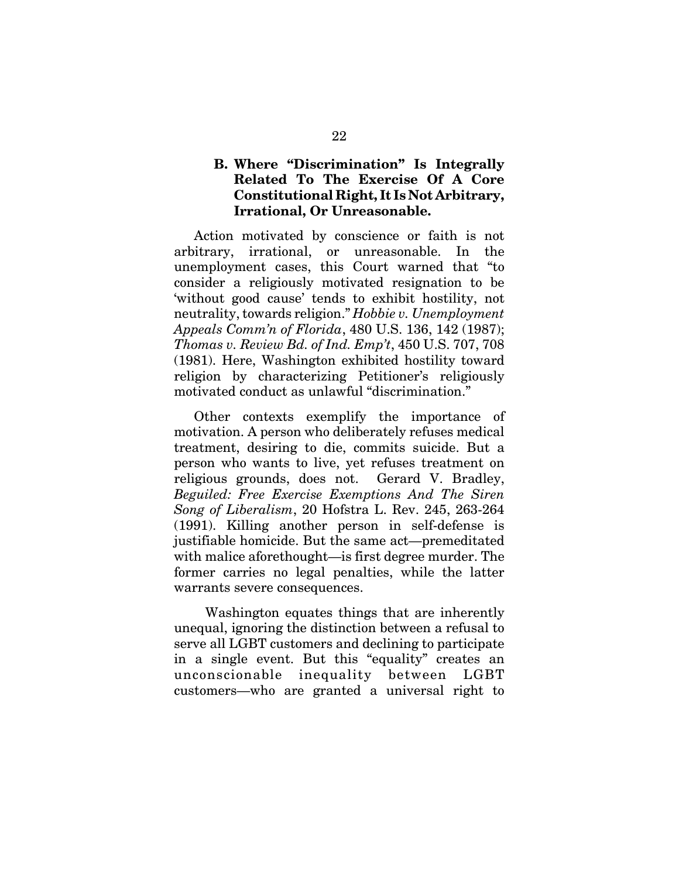#### **B. Where "Discrimination" Is Integrally Related To The Exercise Of A Core Constitutional Right, It Is Not Arbitrary, Irrational, Or Unreasonable.**

Action motivated by conscience or faith is not arbitrary, irrational, or unreasonable. In the unemployment cases, this Court warned that "to consider a religiously motivated resignation to be 'without good cause' tends to exhibit hostility, not neutrality, towards religion." *Hobbie v. Unemployment Appeals Comm'n of Florida*, 480 U.S. 136, 142 (1987); *Thomas v. Review Bd. of Ind. Emp't*, 450 U.S. 707, 708 (1981). Here, Washington exhibited hostility toward religion by characterizing Petitioner's religiously motivated conduct as unlawful "discrimination."

Other contexts exemplify the importance of motivation. A person who deliberately refuses medical treatment, desiring to die, commits suicide. But a person who wants to live, yet refuses treatment on religious grounds, does not. Gerard V. Bradley, *Beguiled: Free Exercise Exemptions And The Siren Song of Liberalism*, 20 Hofstra L. Rev. 245, 263-264 (1991). Killing another person in self-defense is justifiable homicide. But the same act—premeditated with malice aforethought—is first degree murder. The former carries no legal penalties, while the latter warrants severe consequences.

 Washington equates things that are inherently unequal, ignoring the distinction between a refusal to serve all LGBT customers and declining to participate in a single event. But this "equality" creates an unconscionable inequality between LGBT customers—who are granted a universal right to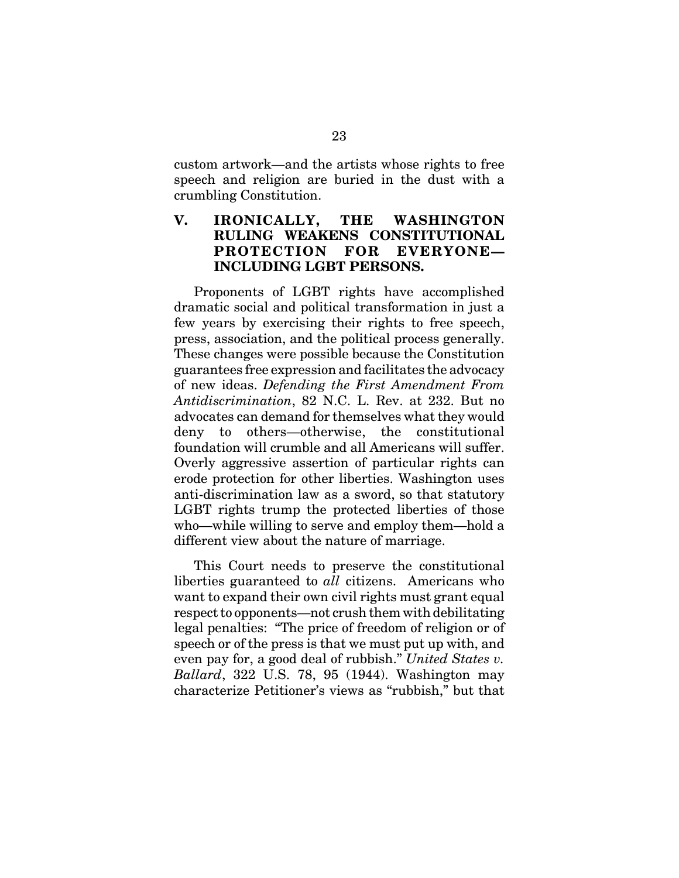custom artwork—and the artists whose rights to free speech and religion are buried in the dust with a crumbling Constitution.

## **V. IRONICALLY, THE WASHINGTON RULING WEAKENS CONSTITUTIONAL PROTECTION FOR EVERYONE— INCLUDING LGBT PERSONS.**

Proponents of LGBT rights have accomplished dramatic social and political transformation in just a few years by exercising their rights to free speech, press, association, and the political process generally. These changes were possible because the Constitution guarantees free expression and facilitates the advocacy of new ideas. *Defending the First Amendment From Antidiscrimination*, 82 N.C. L. Rev. at 232. But no advocates can demand for themselves what they would deny to others—otherwise, the constitutional foundation will crumble and all Americans will suffer. Overly aggressive assertion of particular rights can erode protection for other liberties. Washington uses anti-discrimination law as a sword, so that statutory LGBT rights trump the protected liberties of those who—while willing to serve and employ them—hold a different view about the nature of marriage.

This Court needs to preserve the constitutional liberties guaranteed to *all* citizens. Americans who want to expand their own civil rights must grant equal respect to opponents—not crush them with debilitating legal penalties: "The price of freedom of religion or of speech or of the press is that we must put up with, and even pay for, a good deal of rubbish." *United States v. Ballard*, 322 U.S. 78, 95 (1944). Washington may characterize Petitioner's views as "rubbish," but that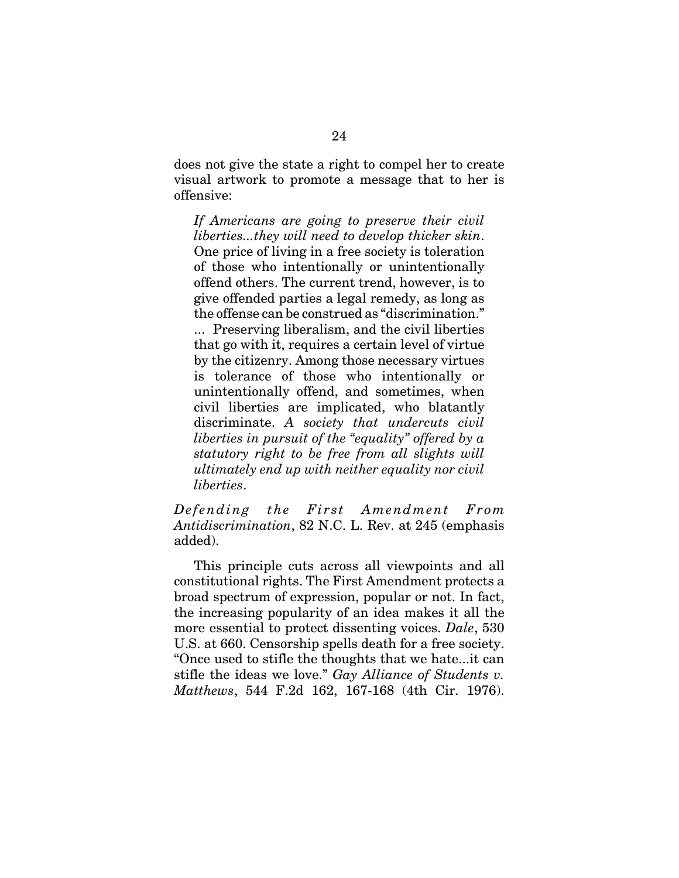does not give the state a right to compel her to create visual artwork to promote a message that to her is offensive:

*If Americans are going to preserve their civil liberties...they will need to develop thicker skin*. One price of living in a free society is toleration of those who intentionally or unintentionally offend others. The current trend, however, is to give offended parties a legal remedy, as long as the offense can be construed as "discrimination." ... Preserving liberalism, and the civil liberties that go with it, requires a certain level of virtue by the citizenry. Among those necessary virtues is tolerance of those who intentionally or unintentionally offend, and sometimes, when civil liberties are implicated, who blatantly discriminate. *A society that undercuts civil liberties in pursuit of the "equality" offered by a statutory right to be free from all slights will ultimately end up with neither equality nor civil liberties*.

*Defending the First Amendment From Antidiscrimination*, 82 N.C. L. Rev. at 245 (emphasis added).

This principle cuts across all viewpoints and all constitutional rights. The First Amendment protects a broad spectrum of expression, popular or not. In fact, the increasing popularity of an idea makes it all the more essential to protect dissenting voices. *Dale*, 530 U.S. at 660. Censorship spells death for a free society. "Once used to stifle the thoughts that we hate...it can stifle the ideas we love." *Gay Alliance of Students v. Matthews*, 544 F.2d 162, 167-168 (4th Cir. 1976).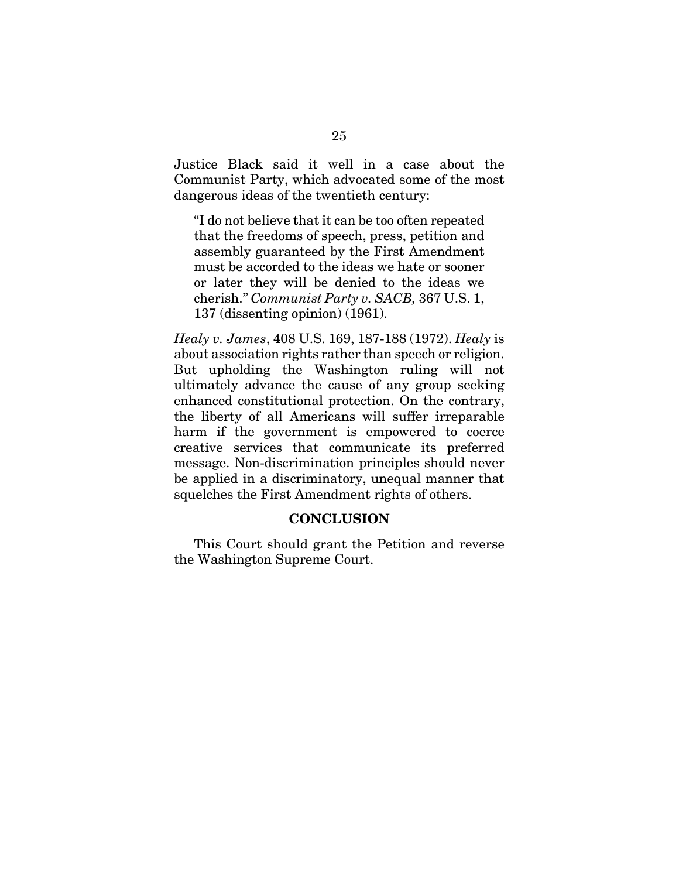Justice Black said it well in a case about the Communist Party, which advocated some of the most dangerous ideas of the twentieth century:

"I do not believe that it can be too often repeated that the freedoms of speech, press, petition and assembly guaranteed by the First Amendment must be accorded to the ideas we hate or sooner or later they will be denied to the ideas we cherish." *Communist Party v. SACB,* 367 U.S. 1, 137 (dissenting opinion) (1961).

*Healy v. James*, 408 U.S. 169, 187-188 (1972). *Healy* is about association rights rather than speech or religion. But upholding the Washington ruling will not ultimately advance the cause of any group seeking enhanced constitutional protection. On the contrary, the liberty of all Americans will suffer irreparable harm if the government is empowered to coerce creative services that communicate its preferred message. Non-discrimination principles should never be applied in a discriminatory, unequal manner that squelches the First Amendment rights of others.

#### **CONCLUSION**

This Court should grant the Petition and reverse the Washington Supreme Court.